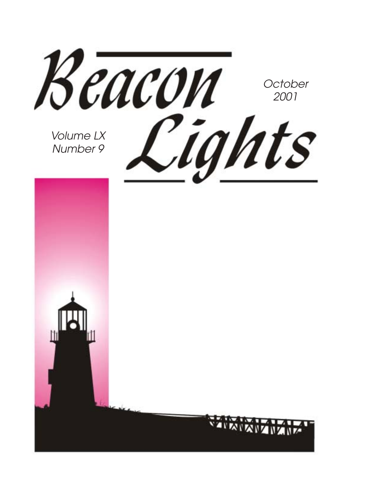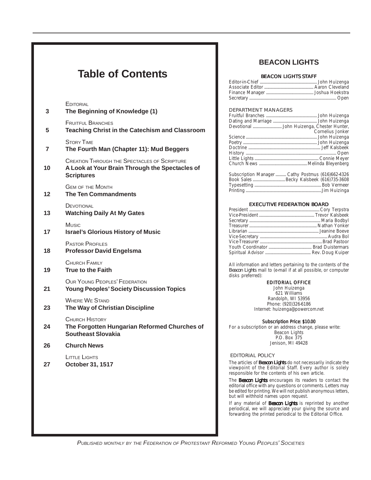### **Table of Contents**

**EDITORIAL** 

| 3  | The Beginning of Knowledge (1)                                                                                             |
|----|----------------------------------------------------------------------------------------------------------------------------|
| 5  | <b>FRUITEUL BRANCHES</b><br><b>Teaching Christ in the Catechism and Classroom</b>                                          |
| 7  | <b>STORY TIME</b><br>The Fourth Man (Chapter 11): Mud Beggers                                                              |
| 10 | <b>CREATION THROUGH THE SPECTACLES OF SCRIPTURE</b><br>A Look at Your Brain Through the Spectacles of<br><b>Scriptures</b> |
| 12 | <b>GEM OF THE MONTH</b><br><b>The Ten Commandments</b>                                                                     |
| 13 | DEVOTIONAL<br><b>Watching Daily At My Gates</b>                                                                            |
| 17 | Music<br><b>Israel's Glorious History of Music</b>                                                                         |
| 18 | <b>PASTOR PROFILES</b><br><b>Professor David Engelsma</b>                                                                  |
| 19 | CHURCH FAMILY<br><b>True to the Faith</b>                                                                                  |
| 21 | OUR YOUNG PEOPLES' FEDERATION<br><b>Young Peoples' Society Discussion Topics</b>                                           |
| 23 | <b>WHERE WE STAND</b><br>The Way of Christian Discipline                                                                   |
| 24 | <b>CHURCH HISTORY</b><br>The Forgotten Hungarian Reformed Churches of<br><b>Southeast Slovakia</b>                         |
| 26 | <b>Church News</b>                                                                                                         |
| 27 | LITTLE LIGHTS<br>October 31, 1517                                                                                          |
|    |                                                                                                                            |
|    |                                                                                                                            |
|    |                                                                                                                            |

### **BEACON LIGHTS**

#### BEACON LIGHTS STAFF

#### DEPARTMENT MANAGERS

| Cornelius Jonker                                 |
|--------------------------------------------------|
|                                                  |
|                                                  |
|                                                  |
|                                                  |
|                                                  |
|                                                  |
| Subscription Manager Cathy Postmus (616)662-4326 |

| Subscription Manager Cathy Postmus (616)662-4326 |  |
|--------------------------------------------------|--|
|                                                  |  |
|                                                  |  |
|                                                  |  |
|                                                  |  |

#### EXECUTIVE FEDERATION BOARD

All information and letters pertaining to the contents of the *Beacon Lights* mail to (e-mail if at all possible, or computer disks preferred):

#### EDITORIAL OFFICE

John Huizenga 621 Williams Randolph, WI 53956 Phone: (920)326-6186 Internet: huizenga@powercom.net

#### Subscription Price: \$10.00

For a subscription or an address change, please write: Beacon Lights P.O. Box 375 Jenison, MI 49428

#### EDITORIAL POLICY

The articles of *Beacon Lights* do not necessarily indicate the viewpoint of the Editorial Staff. Every author is solely responsible for the contents of his own article.

The *Beacon Lights* encourages its readers to contact the editorial office with any questions or comments. Letters may be edited for printing. We will not publish anonymous letters, but will withhold names upon request.

If any material of *Beacon Lights* is reprinted by another periodical, we will appreciate your giving the source and forwarding the printed periodical to the Editorial Office.

PUBLISHED MONTHLY BY THE FEDERATION OF PROTESTANT REFORMED YOUNG PEOPLES' SOCIETIES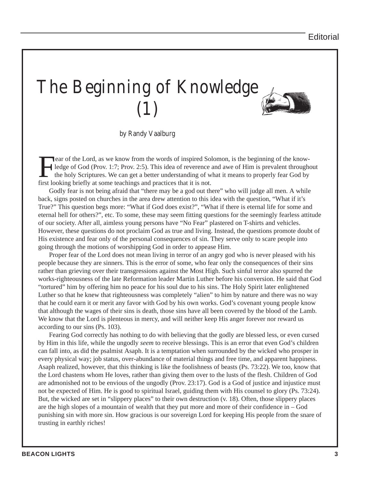# The Beginning of Knowledge (1)



by Randy Vaalburg

Fear of the Lord, as we know from the words of inspired Solomon, is the beginning of the know-<br>ledge of God (Prov. 1:7; Prov. 2:5). This idea of reverence and awe of Him is prevalent through<br>the holy Scriptures. We can get ledge of God (Prov. 1:7; Prov. 2:5). This idea of reverence and awe of Him is prevalent throughout the holy Scriptures. We can get a better understanding of what it means to properly fear God by first looking briefly at some teachings and practices that it is not.

Godly fear is not being afraid that "there may be a god out there" who will judge all men. A while back, signs posted on churches in the area drew attention to this idea with the question, "What if it's True?" This question begs more: "What if God does exist?", "What if there is eternal life for some and eternal hell for others?", etc. To some, these may seem fitting questions for the seemingly fearless attitude of our society. After all, aimless young persons have "No Fear" plastered on T-shirts and vehicles. However, these questions do not proclaim God as true and living. Instead, the questions promote doubt of His existence and fear only of the personal consequences of sin. They serve only to scare people into going through the motions of worshipping God in order to appease Him.

Proper fear of the Lord does not mean living in terror of an angry god who is never pleased with his people because they are sinners. This is the error of some, who fear only the consequences of their sins rather than grieving over their transgressions against the Most High. Such sinful terror also spurred the works-righteousness of the late Reformation leader Martin Luther before his conversion. He said that God "tortured" him by offering him no peace for his soul due to his sins. The Holy Spirit later enlightened Luther so that he knew that righteousness was completely "alien" to him by nature and there was no way that he could earn it or merit any favor with God by his own works. God's covenant young people know that although the wages of their sins is death, those sins have all been covered by the blood of the Lamb. We know that the Lord is plenteous in mercy, and will neither keep His anger forever nor reward us according to our sins (Ps. 103).

Fearing God correctly has nothing to do with believing that the godly are blessed less, or even cursed by Him in this life, while the ungodly *seem* to receive blessings. This is an error that even God's children can fall into, as did the psalmist Asaph. It is a temptation when surrounded by the wicked who prosper in every physical way; job status, over-abundance of material things and free time, and apparent happiness. Asaph realized, however, that this thinking is like the foolishness of beasts (Ps. 73:22). We too, know that the Lord chastens whom He loves, rather than giving them over to the lusts of the flesh. Children of God are admonished not to be envious of the ungodly (Prov. 23:17). God is a God of justice and injustice must not be expected of Him. He is good to spiritual Israel, guiding them with His counsel to glory (Ps. 73:24). But, the wicked are set in "slippery places" to their own destruction (v. 18). Often, those slippery places are the high slopes of a mountain of wealth that they put more and more of their confidence in – God punishing sin with more sin. How gracious is our sovereign Lord for keeping His people from the snare of trusting in earthly riches!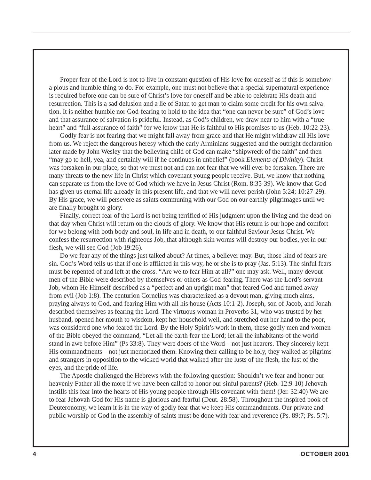Proper fear of the Lord is not to live in constant question of His love for oneself as if this is somehow a pious and humble thing to do. For example, one must not believe that a special supernatural experience is required before one can be sure of Christ's love for oneself and be able to celebrate His death and resurrection. This is a sad delusion and a lie of Satan to get man to claim some credit for his own salvation. It is neither humble nor God-fearing to hold to the idea that "one can never be sure" of God's love and that assurance of salvation is prideful. Instead, as God's children, we draw near to him with a "true heart" and "full assurance of faith" for we know that He is faithful to His promises to us (Heb. 10:22-23).

Godly fear is not fearing that we might fall away from grace and that He might withdraw all His love from us. We reject the dangerous heresy which the early Arminians suggested and the outright declaration later made by John Wesley that the believing child of God can make "shipwreck of the faith" and then "may go to hell, yea, and certainly will if he continues in unbelief" (book *Elements of Divinity*). Christ was forsaken in our place, so that we must not and can not fear that we will ever be forsaken. There are many threats to the new life in Christ which covenant young people receive. But, we know that nothing can separate us from the love of God which we have in Jesus Christ (Rom. 8:35-39). We know that God has given us eternal life already in this present life, and that we will never perish (John 5:24; 10:27-29). By His grace, we will persevere as saints communing with our God on our earthly pilgrimages until we are finally brought to glory.

Finally, correct fear of the Lord is not being terrified of His judgment upon the living and the dead on that day when Christ will return on the clouds of glory. We know that His return is our hope and comfort for we belong with both body and soul, in life and in death, to our faithful Saviour Jesus Christ. We confess the resurrection with righteous Job, that although skin worms will destroy our bodies, yet in our flesh, we will see God (Job 19:26).

Do we fear any of the things just talked about? At times, a believer may. But, those kind of fears are sin. God's Word tells us that if one is afflicted in this way, he or she is to pray (Jas. 5:13). The sinful fears must be repented of and left at the cross. "Are we to fear Him at all?" one may ask. Well, many devout men of the Bible were described by themselves or others as God-fearing. There was the Lord's servant Job, whom He Himself described as a "perfect and an upright man" that feared God and turned away from evil (Job 1:8). The centurion Cornelius was characterized as a devout man, giving much alms, praying always to God, and fearing Him with all his house (Acts 10:1-2). Joseph, son of Jacob, and Jonah described themselves as fearing the Lord. The virtuous woman in Proverbs 31, who was trusted by her husband, opened her mouth to wisdom, kept her household well, and stretched out her hand to the poor, was considered one who feared the Lord. By the Holy Spirit's work in them, these godly men and women of the Bible obeyed the command, "Let all the earth fear the Lord; let all the inhabitants of the world stand in awe before Him" (Ps 33:8). They were doers of the Word – not just hearers. They sincerely kept His commandments – not just memorized them. Knowing their calling to be holy, they walked as pilgrims and strangers in opposition to the wicked world that walked after the lusts of the flesh, the lust of the eyes, and the pride of life.

The Apostle challenged the Hebrews with the following question: Shouldn't we fear and honor our heavenly Father all the more if we have been called to honor our sinful parents? (Heb. 12:9-10) Jehovah instills this fear into the hearts of His young people through His covenant with them! (Jer. 32:40) We are to fear Jehovah God for His name is glorious and fearful (Deut. 28:58). Throughout the inspired book of Deuteronomy, we learn it is in the way of godly fear that we keep His commandments. Our private and public worship of God in the assembly of saints must be done with fear and reverence (Ps. 89:7; Ps. 5:7).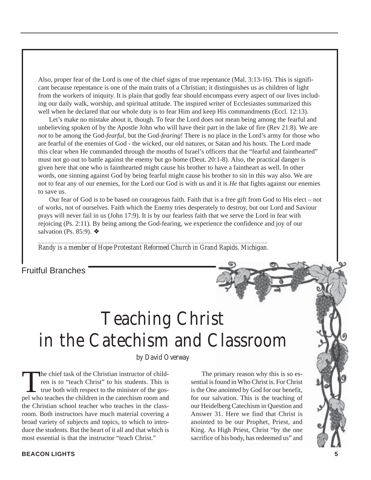Also, proper fear of the Lord is one of the chief signs of true repentance (Mal. 3:13-16). This is significant because repentance is one of the main traits of a Christian; it distinguishes us as children of light from the workers of iniquity. It is plain that godly fear should encompass every aspect of our lives including our daily walk, worship, and spiritual attitude. The inspired writer of Ecclesiastes summarized this well when he declared that our whole duty is to fear Him and keep His commandments (Eccl. 12:13).

Let's make no mistake about it, though. To fear the Lord does not mean being among the fearful and unbelieving spoken of by the Apostle John who will have their part in the lake of fire (Rev 21:8). We are *not* to be among the God-*fearful*, but the God-*fearing*! There is no place in the Lord's army for those who are fearful of the enemies of God - the wicked, our old natures, or Satan and his hosts. The Lord made this clear when He commanded through the mouths of Israel's officers that the "fearful and fainthearted" must not go out to battle against the enemy but go home (Deut. 20:1-8). Also, the practical danger is given here that one who is fainthearted might cause his brother to have a faintheart as well. In other words, one sinning against God by being fearful might cause his brother to sin in this way also. We are not to fear any of our enemies, for the Lord our God is with us and it is *He* that fights against our enemies to save us.

Our fear of God is to be based on courageous faith. Faith that is a free gift from God to His elect – not of works, not of ourselves. Faith which the Enemy tries desperately to destroy, but our Lord and Saviour prays will never fail in us (John 17:9). It is by our fearless faith that we serve the Lord in fear with rejoicing (Ps. 2:11). By being among the God-fearing, we experience the confidence and joy of our salvation (Ps. 85:9). ❖

*\_\_\_\_\_\_\_\_\_\_\_\_\_\_\_\_\_\_\_\_\_\_\_\_\_\_\_\_\_\_\_\_\_\_\_\_\_\_\_\_\_\_\_\_\_\_\_\_\_\_\_\_\_\_\_\_\_\_\_\_\_\_\_\_\_\_\_\_\_ Randy is a member of Hope Protestant Reformed Church in Grand Rapids, Michigan.*

Fruitful Branches

## Teaching Christ in the Catechism and Classroom

by David Overway

The chief task of the Christian instructor of child-<br>ren is to "teach Christ" to his students. This is<br>true both with respect to the minister of the gos-<br>nel who teaches the children in the catechism room and ren is to "teach Christ" to his students. This is true both with respect to the minister of the gospel who teaches the children in the catechism room and the Christian school teacher who teaches in the classroom. Both instructors have much material covering a broad variety of subjects and topics, to which to introduce the students. But the heart of it all and that which is most essential is that the instructor "teach Christ."

The primary reason why this is so essential is found in Who Christ is. For Christ is the One anointed by God for our benefit, for our salvation. This is the teaching of our Heidelberg Catechism in Question and Answer 31. Here we find that Christ is anointed to be our Prophet, Priest, and King. As High Priest, Christ "by the one sacrifice of his body, has redeemed us" and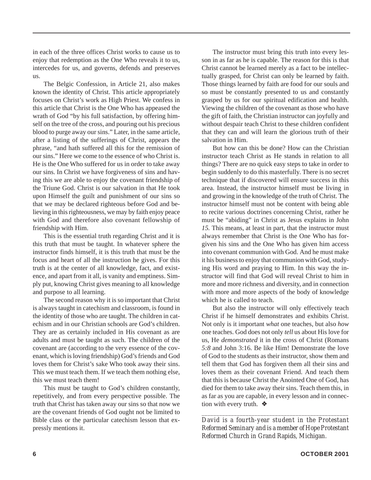in each of the three offices Christ works to cause us to enjoy that redemption as the One Who reveals it to us, intercedes for us, and governs, defends and preserves us.

The Belgic Confession, in Article 21, also makes known the identity of Christ. This article appropriately focuses on Christ's work as High Priest. We confess in this article that Christ is the One Who has appeased the wrath of God "by his full satisfaction, by offering himself on the tree of the cross, and pouring out his precious blood to purge away our sins." Later, in the same article, after a listing of the sufferings of Christ, appears the phrase, "and hath suffered all this for the remission of our sins." Here we come to the essence of who Christ is. He is the One Who suffered for us in order to take away our sins. In Christ we have forgiveness of sins and having this we are able to enjoy the covenant friendship of the Triune God. Christ is our salvation in that He took upon Himself the guilt and punishment of our sins so that we may be declared righteous before God and believing in this righteousness, we may by faith enjoy peace with God and therefore also covenant fellowship of friendship with Him.

This is the essential truth regarding Christ and it is this truth that must be taught. In whatever sphere the instructor finds himself, it is this truth that must be the focus and heart of all the instruction he gives. For this truth is at the center of all knowledge, fact, and existence, and apart from it all, is vanity and emptiness. Simply put, knowing Christ gives meaning to all knowledge and purpose to all learning.

The second reason why it is so important that Christ is always taught in catechism and classroom, is found in the identity of those who are taught. The children in catechism and in our Christian schools are God's children. They are as certainly included in His covenant as are adults and must be taught as such. The children of the covenant are (according to the very essence of the covenant, which is loving friendship) God's friends and God loves them for Christ's sake Who took away their sins. This we must teach them. If we teach them nothing else, this we must teach them!

This must be taught to God's children constantly, repetitively, and from every perspective possible. The truth that Christ has taken away our sins so that now we are the covenant friends of God ought not be limited to Bible class or the particular catechism lesson that expressly mentions it.

The instructor must bring this truth into every lesson in as far as he is capable. The reason for this is that Christ cannot be learned merely as a fact to be intellectually grasped, for Christ can only be learned by faith. Those things learned by faith are food for our souls and so must be constantly presented to us and constantly grasped by us for our spiritual edification and health. Viewing the children of the covenant as those who have the gift of faith, the Christian instructor can joyfully and without despair teach Christ to these children confident that they can and will learn the glorious truth of their salvation in Him.

But how can this be done? How can the Christian instructor teach Christ as He stands in relation to all things? There are no quick easy steps to take in order to begin suddenly to do this masterfully. There is no secret technique that if discovered will ensure success in this area. Instead, the instructor himself must be living in and growing in the knowledge of the truth of Christ. The instructor himself must not be content with being able to recite various doctrines concerning Christ, rather he must be "abiding" in Christ as Jesus explains in John *15.* This means, at least in part, that the instructor must always remember that Christ is the One Who has forgiven his sins and the One Who has given him access into covenant communion with God. And he must make it his business to enjoy that communion with God, studying His word and praying to Him. In this way the instructor will find that God will reveal Christ to him in more and more richness and diversity, and in connection with more and more aspects of the body of knowledge which he is called to teach.

But also the instructor will only effectively teach Christ if he himself demonstrates and exhibits Christ. Not only is it important *what* one teaches, but also *how* one teaches. God does not only *tell* us about His love for us, He *demonstrated* it in the cross of Christ (Romans *5:8* and John 3:16. Be like Him! Demonstrate the love of God to the students as their instructor, show them and tell them that God has forgiven them all their sins and loves them as their covenant Friend. And teach them that this is because Christ the Anointed One of God, has died for them to take away their sins. Teach them this, in as far as you are capable, in every lesson and in connection with every truth. ❖

*\_\_\_\_\_\_\_\_\_\_\_\_\_\_\_\_\_\_\_\_\_\_\_\_\_\_\_\_\_\_\_\_\_\_\_\_\_\_\_\_\_\_\_\_\_\_\_\_\_\_ David is a fourth-year student in the Protestant Reformed Seminary and is a member of Hope Protestant Reformed Church in Grand Rapids, Michigan.*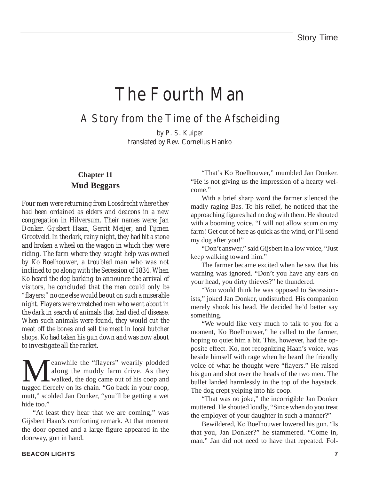### The Fourth Man

A Story from the Time of the Afscheiding

by P. S. Kuiper translated by Rev. Cornelius Hanko

### **Chapter 11 Mud Beggars**

*Four men were returning from Loosdrecht where they had been ordained as elders and deacons in a new congregation in Hilversum. Their names were: Jan Donker. Gijsbert Haan, Gerrit Meijer, and Tijmen Grootveld. In the dark, rainy night, they had hit a stone and broken a wheel on the wagon in which they were riding. The farm where they sought help was owned by Ko Boelhouwer, a troubled man who was not inclined to go along with the Secession of 1834. When Ko heard the dog barking to announce the arrival of visitors, he concluded that the men could only be "flayers;" no one else would be out on such a miserable night. Flayers were wretched men who went about in the dark in search of animals that had died of disease. When such animals were found, they would cut the meat off the bones and sell the meat in local butcher shops. Ko had taken his gun down and was now about to investigate all the racket.*

**Meanwhile the "flayers" wearily plodded**<br>along the muddy farm drive. As they<br>walked, the dog came out of his coop and<br>tugged fiercely on its chain. "Go back in your coop along the muddy farm drive. As they walked, the dog came out of his coop and tugged fiercely on its chain. "Go back in your coop, mutt," scolded Jan Donker, "you'll be getting a wet hide too."

"At least they hear that we are coming," was Gijsbert Haan's comforting remark. At that moment the door opened and a large figure appeared in the doorway, gun in hand.

"That's Ko Boelhouwer," mumbled Jan Donker. "He is not giving us the impression of a hearty welcome."

With a brief sharp word the farmer silenced the madly raging Bas. To his relief, he noticed that the approaching figures had no dog with them. He shouted with a booming voice, "I will not allow scum on my farm! Get out of here as quick as the wind, or I'll send my dog after you!"

"Don't answer," said Gijsbert in a low voice, "Just keep walking toward him."

The farmer became excited when he saw that his warning was ignored. "Don't you have any ears on your head, you dirty thieves?" he thundered.

"You would think he was opposed to Secessionists," joked Jan Donker, undisturbed. His companion merely shook his head. He decided he'd better say something.

"We would like very much to talk to you for a moment, Ko Boelhouwer," he called to the farmer, hoping to quiet him a bit. This, however, had the opposite effect. Ko, not recognizing Haan's voice, was beside himself with rage when he heard the friendly voice of what he thought were "flayers." He raised his gun and shot over the heads of the two men. The bullet landed harmlessly in the top of the haystack. The dog crept yelping into his coop.

"That was no joke," the incorrigible Jan Donker muttered. He shouted loudly, "Since when do you treat the employer of your daughter in such a manner?"

Bewildered, Ko Boelhouwer lowered his gun. "Is that you, Jan Donker?" he stammered. "Come in, man." Jan did not need to have that repeated. Fol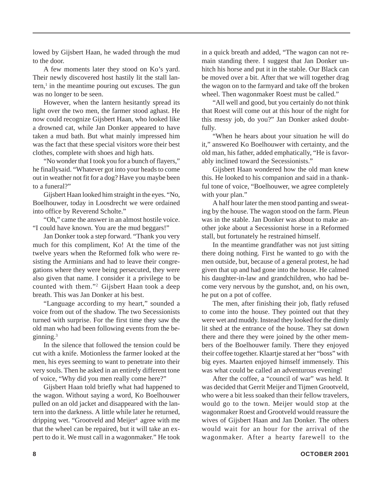lowed by Gijsbert Haan, he waded through the mud to the door.

A few moments later they stood on Ko's yard. Their newly discovered host hastily lit the stall lantern,<sup>1</sup> in the meantime pouring out excuses. The gun was no longer to be seen.

However, when the lantern hesitantly spread its light over the two men, the farmer stood aghast. He now could recognize Gijsbert Haan, who looked like a drowned cat, while Jan Donker appeared to have taken a mud bath. But what mainly impressed him was the fact that these special visitors wore their best clothes, complete with shoes and high hats.

"No wonder that I took you for a bunch of flayers," he finallysaid. "Whatever got into your heads to come out in weather not fit for a dog? Have you maybe been to a funeral?"

Gijsbert Haan looked him straight in the eyes. "No, Boelhouwer, today in Loosdrecht we were ordained into office by Reverend Scholte."

"Oh," came the answer in an almost hostile voice. "I could have known. You are the mud beggars!"

Jan Donker took a step forward. "Thank you very much for this compliment, Ko! At the time of the twelve years when the Reformed folk who were resisting the Arminians and had to leave their congregations where they were being persecuted, they were also given that name. I consider it a privilege to be counted with them."2 Gijsbert Haan took a deep breath. This was Jan Donker at his best.

"Language according to my heart," sounded a voice from out of the shadow. The two Secessionists turned with surprise. For the first time they saw the old man who had been following events from the beginning.3

In the silence that followed the tension could be cut with a knife. Motionless the farmer looked at the men, his eyes seeming to want to penetrate into their very souls. Then he asked in an entirely different tone of voice, "Why did you men really come here?"

Gijsbert Haan told briefly what had happened to the wagon. Without saying a word, Ko Boelhouwer pulled on an old jacket and disappeared with the lantern into the darkness. A little while later he returned, dripping wet. "Grootveld and Meijer<sup>4</sup> agree with me that the wheel can be repaired, but it will take an expert to do it. We must call in a wagonmaker." He took in a quick breath and added, "The wagon can not remain standing there. I suggest that Jan Donker unhitch his horse and put it in the stable. Our Black can be moved over a bit. After that we will together drag the wagon on to the farmyard and take off the broken wheel. Then wagonmaker Roest must be called."

"All well and good, but you certainly do not think that Roest will come out at this hour of the night for this messy job, do you?" Jan Donker asked doubtfully.

"When he hears about your situation he will do it," answered Ko Boelhouwer with certainty, and the old man, his father, added emphatically, "He is favorably inclined toward the Secessionists."

Gijsbert Haan wondered how the old man knew this. He looked to his companion and said in a thankful tone of voice, "Boelhouwer, we agree completely with your plan."

A half hour later the men stood panting and sweating by the house. The wagon stood on the farm. Pleun was in the stable. Jan Donker was about to make another joke about a Secessionist horse in a Reformed stall, but fortunately he restrained himself.

In the meantime grandfather was not just sitting there doing nothing. First he wanted to go with the men outside, but, because of a general protest, he had given that up and had gone into the house. He calmed his daughter-in-law and grandchildren, who had become very nervous by the gunshot, and, on his own, he put on a pot of coffee.

The men, after finishing their job, flatly refused to come into the house. They pointed out that they were wet and muddy. Instead they looked for the dimly lit shed at the entrance of the house. They sat down there and there they were joined by the other members of the Boelhouwer family. There they enjoyed their coffee together. Klaartje stared at her "boss" with big eyes. Maarten enjoyed himself immensely. This was what could be called an adventurous evening!

After the coffee, a "council of war" was held. It was decided that Gerrit Meijer and Tijmen Grootveld, who were a bit less soaked than their fellow travelers, would go to the town. Meijer would stop at the wagonmaker Roest and Grootveld would reassure the wives of Gijsbert Haan and Jan Donker. The others would wait for an hour for the arrival of the wagonmaker. After a hearty farewell to the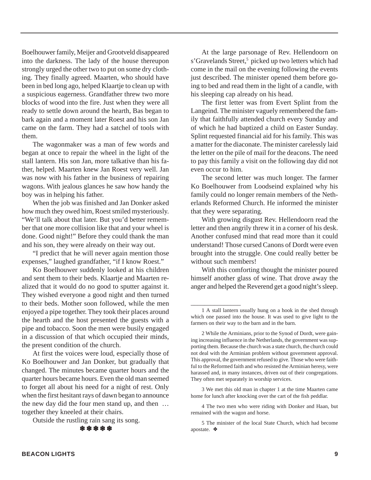Boelhouwer family, Meijer and Grootveld disappeared into the darkness. The lady of the house thereupon strongly urged the other two to put on some dry clothing. They finally agreed. Maarten, who should have been in bed long ago, helped Klaartje to clean up with a suspicious eagerness. Grandfather threw two more blocks of wood into the fire. Just when they were all ready to settle down around the hearth, Bas began to bark again and a moment later Roest and his son Jan came on the farm. They had a satchel of tools with them.

The wagonmaker was a man of few words and began at once to repair the wheel in the light of the stall lantern. His son Jan, more talkative than his father, helped. Maarten knew Jan Roest very well. Jan was now with his father in the business of repairing wagons. With jealous glances he saw how handy the boy was in helping his father.

When the job was finished and Jan Donker asked how much they owed him, Roest smiled mysteriously. "We'll talk about that later. But you'd better remember that one more collision like that and your wheel is done. Good night!" Before they could thank the man and his son, they were already on their way out.

"I predict that he will never again mention those expenses," laughed grandfather, "if I know Roest."

Ko Boelhouwer suddenly looked at his children and sent them to their beds. Klaartje and Maarten realized that it would do no good to sputter against it. They wished everyone a good night and then turned to their beds. Mother soon followed, while the men enjoyed a pipe together. They took their places around the hearth and the host presented the guests with a pipe and tobacco. Soon the men were busily engaged in a discussion of that which occupied their minds, the present condition of the church.

At first the voices were loud, especially those of Ko Boelhouwer and Jan Donker, but gradually that changed. The minutes became quarter hours and the quarter hours became hours. Even the old man seemed to forget all about his need for a night of rest. Only when the first hesitant rays of dawn began to announce the new day did the four men stand up, and then … together they kneeled at their chairs.

Outside the rustling rain sang its song.

❄ ❄ ❄ ❄ ❄

At the large parsonage of Rev. Hellendoorn on s'Gravelands Street,<sup>5</sup> picked up two letters which had come in the mail on the evening following the events just described. The minister opened them before going to bed and read them in the light of a candle, with his sleeping cap already on his head.

The first letter was from Evert Splint from the Langeind. The minister vaguely remembered the family that faithfully attended church every Sunday and of which he had baptized a child on Easter Sunday. Splint requested financial aid for his family. This was a matter for the diaconate. The minister carelessly laid the letter on the pile of mail for the deacons. The need to pay this family a visit on the following day did not even occur to him.

The second letter was much longer. The farmer Ko Boelhouwer from Loodseind explained why his family could no longer remain members of the Netherlands Reformed Church. He informed the minister that they were separating.

With growing disgust Rev. Hellendoorn read the letter and then angrily threw it in a corner of his desk. Another confused mind that read more than it could understand! Those cursed Canons of Dordt were even brought into the struggle. One could really better be without such members!

With this comforting thought the minister poured himself another glass of wine. That drove away the anger and helped the Reverend get a good night's sleep.

\_\_\_\_\_\_\_\_\_\_\_\_\_\_\_

3 We met this old man in chapter 1 at the time Maarten came home for lunch after knocking over the cart of the fish peddlar.

4 The two men who were riding with Donker and Haan, but remained with the wagon and horse.

5 The minister of the local State Church, which had become apostate. ❖

<sup>1</sup> A stall lantern usually hung on a hook in the shed through which one passed into the house. It was used to give light to the farmers on their way to the barn and in the barn.

<sup>2</sup> While the Arminians, prior to the Synod of Dordt, were gaining increasing influence in the Netherlands, the government was supporting them. Because the church was a state church, the church could not deal with the Arminian problem without government approval. This approval, the government refused to give. Those who were faithful to the Reformed faith and who resisted the Arminian heresy, were harassed and, in many instances, driven out of their congregations. They often met separately in worship services.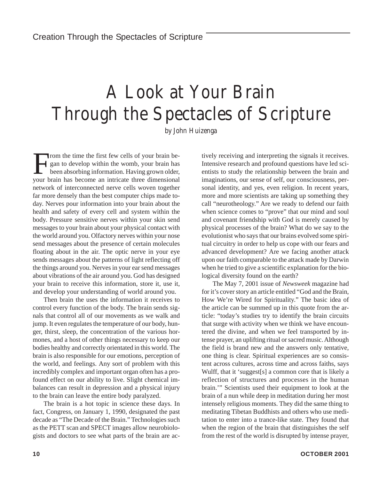## A Look at Your Brain Through the Spectacles of Scripture

by John Huizenga

From the time the first few cells of your brain began to develop within the womb, your brain has been absorbing information. Having grown older, your brain has become an intricate three dimensional network of interconnected nerve cells woven together far more densely than the best computer chips made today. Nerves pour information into your brain about the health and safety of every cell and system within the body. Pressure sensitive nerves within your skin send messages to your brain about your physical contact with the world around you. Olfactory nerves within your nose send messages about the presence of certain molecules floating about in the air. The optic nerve in your eye sends messages about the patterns of light reflecting off the things around you. Nerves in your ear send messages about vibrations of the air around you. God has designed your brain to receive this information, store it, use it, and develop your understanding of world around you.

Then brain the uses the information it receives to control every function of the body. The brain sends signals that control all of our movements as we walk and jump. It even regulates the temperature of our body, hunger, thirst, sleep, the concentration of the various hormones, and a host of other things necessary to keep our bodies healthy and correctly orientated in this world. The brain is also responsible for our emotions, perception of the world, and feelings. Any sort of problem with this incredibly complex and important organ often has a profound effect on our ability to live. Slight chemical imbalances can result in depression and a physical injury to the brain can leave the entire body paralyzed.

The brain is a hot topic in science these days. In fact, Congress, on January 1, 1990, designated the past decade as "The Decade of the Brain." Technologies such as the PETT scan and SPECT images allow neurobiologists and doctors to see what parts of the brain are actively receiving and interpreting the signals it receives. Intensive research and profound questions have led scientists to study the relationship between the brain and imaginations, our sense of self, our consciousness, personal identity, and yes, even religion. In recent years, more and more scientists are taking up something they call "neurotheology." Are we ready to defend our faith when science comes to "prove" that our mind and soul and covenant friendship with God is merely caused by physical processes of the brain? What do we say to the evolutionist who says that our brains evolved some spiritual circuitry in order to help us cope with our fears and advanced development? Are we facing another attack upon our faith comparable to the attack made by Darwin when he tried to give a scientific explanation for the biological diversity found on the earth?

The May 7, 2001 issue of *Newsweek* magazine had for it's cover story an article entitled "God and the Brain, How We're Wired for Spirituality." The basic idea of the article can be summed up in this quote from the article: "today's studies try to identify the brain circuits that surge with activity when we think we have encountered the divine, and when we feel transported by intense prayer, an uplifting ritual or sacred music. Although the field is brand new and the answers only tentative, one thing is clear. Spiritual experiences are so consistent across cultures, across time and across faiths, says Wulff, that it 'suggest[s] a common core that is likely a reflection of structures and processes in the human brain.'" Scientists used their equipment to look at the brain of a nun while deep in meditation during her most intensely religious moments. They did the same thing to meditating Tibetan Buddhists and others who use meditation to enter into a trance-like state. They found that when the region of the brain that distinguishes the self from the rest of the world is disrupted by intense prayer,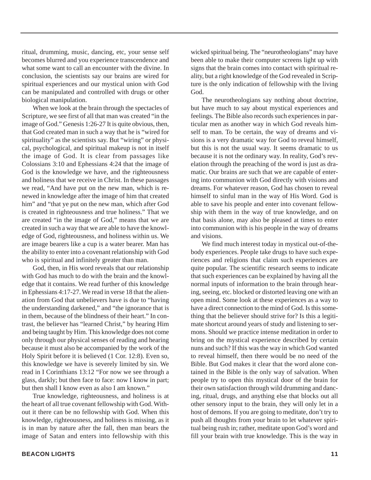ritual, drumming, music, dancing, etc, your sense self becomes blurred and you experience transcendence and what some want to call an encounter with the divine. In conclusion, the scientists say our brains are wired for spiritual experiences and our mystical union with God can be manipulated and controlled with drugs or other biological manipulation.

When we look at the brain through the spectacles of Scripture, we see first of all that man was created "in the image of God." Genesis 1:26-27 It is quite obvious, then, that God created man in such a way that he is "wired for spirituality" as the scientists say. But "wiring" or physical, psychological, and spiritual makeup is not in itself the image of God. It is clear from passages like Colossians 3:10 and Ephessians 4:24 that the image of God is the knowledge we have, and the righteousness and holiness that we receive in Christ. In these passages we read, "And have put on the new man, which is renewed in knowledge after the image of him that created him" and "that ye put on the new man, which after God is created in righteousness and true holiness." That we are created "in the image of God," means that we are created in such a way that we are able to have the knowledge of God, righteousness, and holiness within us. We are image bearers like a cup is a water bearer. Man has the ability to enter into a covenant relationship with God who is spiritual and infinitely greater than man.

God, then, in His word reveals that our relationship with God has much to do with the brain and the knowledge that it contains. We read further of this knowledge in Ephessians 4:17-27. We read in verse 18 that the alienation from God that unbelievers have is due to "having the understanding darkened," and "the ignorance that is in them, because of the blindness of their heart." In contrast, the believer has "learned Christ," by hearing Him and being taught by Him. This knowledge does not come only through our physical senses of reading and hearing because it must also be accompanied by the work of the Holy Spirit before it is believed (1 Cor. 12:8). Even so, this knowledge we have is severely limited by sin. We read in I Corinthians 13:12 "For now we see through a glass, darkly; but then face to face: now I know in part; but then shall I know even as also I am known."

True knowledge, righteousness, and holiness is at the heart of all true covenant fellowship with God. Without it there can be no fellowship with God. When this knowledge, righteousness, and holiness is missing, as it is in man by nature after the fall, then man bears the image of Satan and enters into fellowship with this

wicked spiritual being. The "neurotheologians" may have been able to make their computer screens light up with signs that the brain comes into contact with spiritual reality, but a right knowledge of the God revealed in Scripture is the only indication of fellowship with the living God.

The neurotheologians say nothing about doctrine, but have much to say about mystical experiences and feelings. The Bible also records such experiences in particular men as another way in which God reveals himself to man. To be certain, the way of dreams and visions is a very dramatic way for God to reveal himself, but this is not the usual way. It seems dramatic to us because it is not the ordinary way. In reality, God's revelation through the preaching of the word is just as dramatic. Our brains are such that we are capable of entering into communion with God directly with visions and dreams. For whatever reason, God has chosen to reveal himself to sinful man in the way of His Word. God is able to save his people and enter into covenant fellowship with them in the way of true knowledge, and on that basis alone, may also be pleased at times to enter into communion with is his people in the way of dreams and visions.

We find much interest today in mystical out-of-thebody experiences. People take drugs to have such experiences and religions that claim such experiences are quite popular. The scientific research seems to indicate that such experiences can be explained by having all the normal inputs of information to the brain through hearing, seeing, etc. blocked or distorted leaving one with an open mind. Some look at these experiences as a way to have a direct connection to the mind of God. Is this something that the believer should strive for? Is this a legitimate shortcut around years of study and listening to sermons. Should we practice intense meditation in order to bring on the mystical experience described by certain nuns and such? If this was the way in which God wanted to reveal himself, then there would be no need of the Bible. But God makes it clear that the word alone contained in the Bible is the only way of salvation. When people try to open this mystical door of the brain for their own satisfaction through wild drumming and dancing, ritual, drugs, and anything else that blocks out all other sensory input to the brain, they will only let in a host of demons. If you are going to meditate, don't try to push all thoughts from your brain to let whatever spiritual being rush in; rather, meditate upon God's word and fill your brain with true knowledge. This is the way in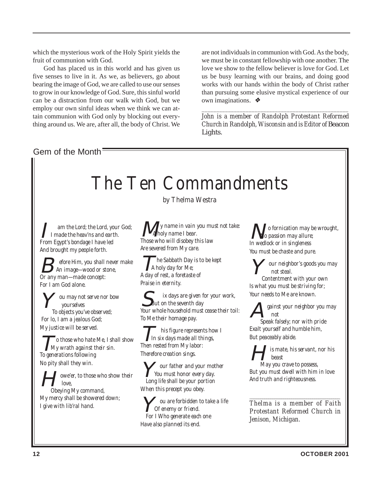which the mysterious work of the Holy Spirit yields the fruit of communion with God.

God has placed us in this world and has given us five senses to live in it. As we, as believers, go about bearing the image of God, we are called to use our senses to grow in our knowledge of God. Sure, this sinful world can be a distraction from our walk with God, but we employ our own sinful ideas when we think we can attain communion with God only by blocking out everything around us. We are, after all, the body of Christ. We

are not individuals in communion with God. As the body, we must be in constant fellowship with one another. The love we show to the fellow believer is love for God. Let us be busy learning with our brains, and doing good works with our hands within the body of Christ rather than pursuing some elusive mystical experience of our own imaginations.❖

*John is a member of Randolph Protestant Reformed Church in Randolph, Wisconsin and is Editor of* Beacon Lights.

*\_\_\_\_\_\_\_\_\_\_\_\_\_\_\_\_\_\_\_\_\_\_\_\_\_\_\_\_\_\_\_\_\_\_\_\_\_\_\_\_\_\_\_\_\_\_\_\_\_\_*

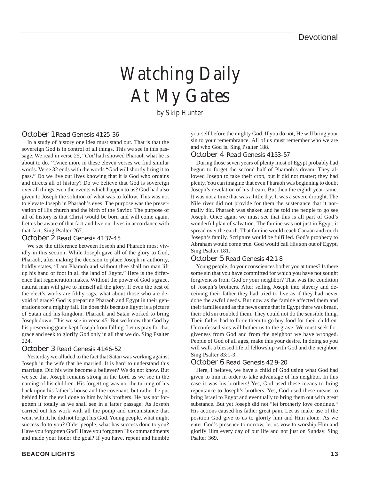# Watching Daily At My Gates

by Skip Hunter

#### October 1 Read Genesis 41:25-36

In a study of history one idea must stand out. That is that the sovereign God is in control of all things. This we see in this passage. We read in verse 25, "*God* hath showed Pharaoh what he is about to do." Twice more in these eleven verses we find similar words. Verse 32 ends with the words "God will shortly bring it to pass." Do we live our lives knowing that it is God who ordains and directs all of history? Do we believe that God is sovereign over all things even the events which happen to us? God had also given to Joseph the solution of what was to follow. This was not to elevate Joseph in Pharaoh's eyes. The purpose was the preservation of His church and the birth of the Savior. The purpose of all of history is that Christ would be born and will come again. Let us be aware of that fact and live our lives in accordance with that fact. Sing Psalter 267.

#### October 2 Read Genesis 41:37-45

We see the difference between Joseph and Pharaoh most vividly in this section. While Joseph gave all of the glory to God, Pharaoh, after making the decision to place Joseph in authority, boldly states, "I am Pharaoh and without thee shall no man lift up his hand or foot in all the land of Egypt." Here is the difference that regeneration makes. Without the power of God's grace, natural man will give to himself all the glory. If even the best of the elect's works are filthy rags, what about those who are devoid of grace? God is preparing Pharaoh and Egypt in their generations for a mighty fall. He does this because Egypt is a picture of Satan and his kingdom. Pharaoh and Satan worked to bring Joseph down. This we see in verse 45. But we know that God by his preserving grace kept Joseph from falling. Let us pray for that grace and seek to glorify God only in all that we do. Sing Psalter 224.

#### October 3 Read Genesis 41:46-52

Yesterday we alluded to the fact that Satan was working against Joseph in the wife that he married. It is hard to understand this marriage. Did his wife become a believer? We do not know. But we see that Joseph remains strong in the Lord as we see in the naming of his children. His forgetting was not the turning of his back upon his father's house and the covenant, but rather he put behind him the evil done to him by his brothers. He has not forgotten it totally as we shall see in a latter passage. As Joseph carried out his work with all the pomp and circumstance that went with it, he did not forget his God. Young people, what might success do to you? Older people, what has success done to you? Have you forgotten God? Have you forgotten His commandments and made your honor the goal? If you have, repent and humble

yourself before the mighty God. If you do not, He will bring your sin to your remembrance. All of us must remember who we are and who God is. Sing Psalter 188.

October 4 Read Genesis 41:53-57

During those seven years of plenty most of Egypt probably had begun to forget the second half of Pharaoh's dream. They allowed Joseph to take their crop, but it did not matter; they had plenty. You can imagine that even Pharaoh was beginning to doubt Joseph's revelation of his dream. But then the eighth year came. It was not a time that was a little dry. It was a severe drought. The Nile river did not provide for them the sustenance that it normally did. Pharaoh was shaken and he told the people to go see Joseph. Once again we must see that this is all part of God's wonderful plan of salvation. The famine was not just in Egypt, it spread over the earth. That famine would reach Canaan and touch Joseph's family. Scripture would be fulfilled. God's prophecy to Abraham would come true. God would call His son out of Egypt. Sing Psalter 181.

#### October 5 Read Genesis 42:1-8

Young people, do your consciences bother you at times? Is there some sin that you have committed for which you have not sought forgiveness from God or your neighbor? That was the condition of Joseph's brothers. After selling Joseph into slavery and deceiving their father they had tried to live as if they had never done the awful deeds. But now as the famine affected them and their families and as the news came that in Egypt there was bread, their old sin troubled them. They could not do the sensible thing. Their father had to force them to go buy food for their children. Unconfessed sins will bother us to the grave. We must seek forgiveness from God and from the neighbor we have wronged. People of God of all ages, make this your desire. In doing so you will walk a blessed life of fellowship with God and the neighbor. Sing Psalter 83:1-3.

#### October 6 Read Genesis 42:9-20

Here, I believe, we have a child of God using what God had given to him in order to take advantage of his neighbor. In this case it was his brothers! Yes, God used these means to bring repentance to Joseph's brothers. Yes, God used these means to bring Israel to Egypt and eventually to bring them out with great substance. But yet Joseph did not "let brotherly love continue." His actions caused his father great pain. Let us make use of the position God give to us to glorify him and Him alone. As we enter God's presence tomorrow, let us vow to worship Him and glorify Him every day of our life and not just on Sunday. Sing Psalter 369.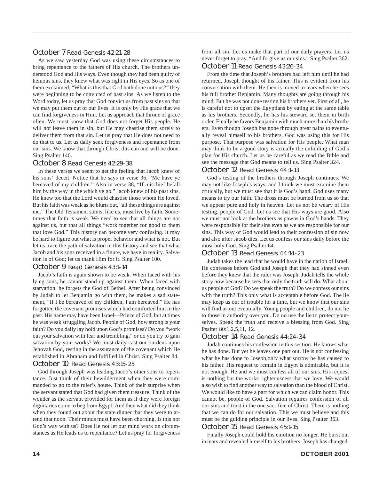#### October 7 Read Genesis 42:21-28

As we saw yesterday God was using these circumstances to bring repentance to the fathers of His church. The brothers understood God and His ways. Even though they had been guilty of heinous sins, they knew what was right in His eyes. So as one of them exclaimed, "What is this that God hath done unto us?" they were beginning to be convicted of past sins. As we listen to the Word today, let us pray that God convict us from past sins so that we may put them out of our lives. It is only by His grace that we can find forgiveness in Him. Let us approach that throne of grace often. We must know that God does not forget His people. He will not leave them in sin, but He may chastise them sorely to deliver them from that sin. Let us pray that He does not need to do that to us. Let us daily seek forgiveness and repentance from our sins. We know that through Christ this can and will be done. Sing Psalter 140.

#### October 8 Read Genesis 42:29-38

In these verses we seem to get the feeling that Jacob knew of his sons' deceit. Notice that he says in verse 36, "Me have ye bereaved of my children." Also in verse 38, "If mischief befall him by the way in the which ye go." Jacob knew of his past sins. He knew too that the Lord would chastise those whom He loved. But his faith was weak as he blurts out, "all these things are against me." The Old Testament saints, like us, must live by faith. Sometimes that faith is weak. We need to see that all things are not against us, but that all things "work together for good to them that love God." This history can become very confusing. It may be hard to figure out what is proper behavior and what is not. But let us trace the path of salvation in this history and see that what Jacob and his sons received in a figure, we have in reality. Salvation is of God; let us thank Him for it. Sing Psalter 100.

#### October 9 Read Genesis 43:1-14

Jacob's faith is again shown to be weak. When faced with his lying sons, he cannot stand up against them. When faced with starvation, he forgets the God of Bethel. After being convinced by Judah to let Benjamin go with them, he makes a sad statement, "If I be bereaved of my children, I am bereaved." He has forgotten the covenant promises which had comforted him in the past. His name may have been Israel—Prince of God, but at times he was weak struggling Jacob. People of God, how strong is your faith? Do you daily lay hold upon God's promises? Do you "work out your salvation with fear and trembling," or do you try to gain salvation by your works? We must daily cast our burdens upon Jehovah God, resting in the assurance of the covenant which He established in Abraham and fulfilled in Christ. Sing Psalter 84. October 10 Read Genesis 43:15-25

God through Joseph was leading Jacob's other sons to repentance. Just think of their bewilderment when they were commanded to go to the ruler's house. Think of their surprise when the servant stated that God had given them treasure. Think of the wonder as the servant provided for them as if they were foreign dignitaries come to beg from Egypt. And then what did they think when they found out about the state dinner that they were to attend that noon. Their minds must have been churning. Is this not God's way with us? Does He not let our mind work on circumstances as He leads us to repentance? Let us pray for forgiveness

from all sin. Let us make that part of our daily prayers. Let us never forget to pray, "And forgive us our sins." Sing Psalter 362. October 11 Read Genesis 43:26-34

From the time that Joseph's brothers had left him until he had returned, Joseph thought of his father. This is evident from his conversation with them. He then is moved to tears when he sees his full brother Benjamin. Many thoughts are going through his mind. But he was not done testing his brothers yet. First of all, he is careful not to upset the Egyptians by eating at the same table as his brothers. Secondly, he has his steward set them in birth order. Finally he favors Benjamin with much more than his brothers. Even though Joseph has gone through great pains to eventually reveal himself to his brothers, God was using this for His purpose. That purpose was salvation for His people. What man may think to be a good story is actually the unfolding of God's plan for His church. Let us be careful as we read the Bible and see the message that God means to tell us. Sing Psalter 324.

#### October 12 Read Genesis 44:1-13

God's testing of the brothers through Joseph continues. We may not like Joseph's ways, and I think we must examine them critically, but we must see that it is God's hand. God uses many means to try our faith. The dross must be burned from us so that we appear pure and holy in heaven. Let us not be weary of His testing, people of God. Let us see that His ways are good. Also we must not look at the brothers as pawns in God's hands. They were responsible for their sins even as we are responsible for our sins. This way of God would lead to their confession of sin now and also after Jacob dies. Let us confess our sins daily before the most holy God. Sing Psalter 64.

#### October 13 Read Genesis 44:14-23

Judah takes the lead that he would have in the nation of Israel. He confesses before God and Joseph that they had sinned even before they knew that the ruler was Joseph. Judah tells the whole story now because he sees that only the truth will do. What about us people of God? Do we speak the truth? Do we confess our sins with the truth? This only what is acceptable before God. The lie may keep us out of trouble for a time, but we know that our sins will find us out eventually. Young people and children, do not lie to those in authority over you. Do no use the lie to protect yourselves. Speak the truth and receive a blessing from God. Sing Psalter 80:1,2,5,11, 12.

#### October 14 Read Genesis 44:24-34

Judah continues his confession in this section. He knows what he has done. But yet he leaves one part out. He is not confessing what he has done to Joseph,only what sorrow he has caused to his father. His request to remain in Egypt is admirable, but it is not enough. He and we must confess all of our sins. His request is nothing but the works righteousness that we love. We would also wish to find another way to salvation than the blood of Christ. We would like to have a part for which we can claim honor. This cannot be, people of God. Salvation requires confession of all our sins and trust in the one sacrifice of Christ. There is nothing that we can do for our salvation. This we must believe and this must be the guiding principle in our lives. Sing Psalter 363. October 15 Read Genesis 45:1-15

Finally Joseph could hold his emotion no longer. He burst out in tears and revealed himself to his brothers. Joseph has changed.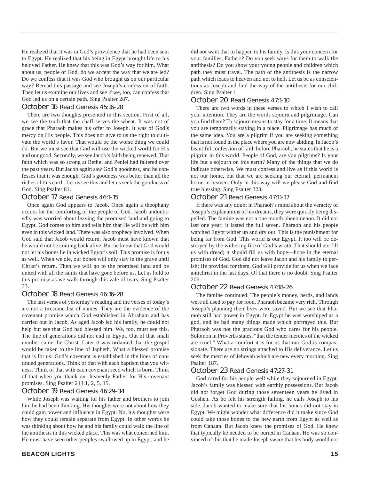He realized that it was in God's providence that he had been sent to Egypt. He realized that his being in Egypt brought life to his beloved Father. He knew that this was God's way for him. What about us, people of God, do we accept the way that we are led? Do we confess that it was God who brought us on our particular way? Reread this passage and see Joseph's confession of faith. Then let us examine our lives and see if we, too, can confess that God led us on a certain path. Sing Psalter 287.

#### October 16 Read Genesis 45:16-28

There are two thoughts presented in this section. First of all, we see the truth that the chaff serves the wheat. It was not of grace that Pharaoh makes his offer to Joseph. It was of God's mercy on His people. This does not give to us the right to cultivate the world's favor. That would be the worse thing we could do. But we must see that God will use the wicked world for His and our good. Secondly, we see Jacob's faith being renewed. That faith which was so strong at Bethel and Peniel had faltered over the past years. But Jacob again saw God's goodness, and he confesses that it was enough. God's goodness was better than all the riches of this earth. Let us see this and let us seek the goodness of God. Sing Psalter 81.

#### October 17 Read Genesis 46:1-15

Once again God appears to Jacob. Once again a theophany occurs for the comforting of the people of God. Jacob undoubtedly was worried about leaving the promised land and going to Egypt. God comes to him and tells him that He will be with him even in this wicked land. There was also prophecy involved. When God said that Jacob would return, Jacob must have known that he would not be coming back alive. But he knew that God would not let his bones lie in wicked Egypt's soil. This promise is for us as well. When we die, our bones will only stay in the grave until Christ's return. Then we will go to the promised land and be united with all the saints that have gone before us. Let us hold to this promise as we walk through this vale of tears. Sing Psalter 33.

#### October 18 Read Genesis 46:16-28

The last verses of yesterday's reading and the verses of today's are not a tiresome list of names. They are the evidence of the covenant promise which God established in Abraham and has carried out in Jacob. As aged Jacob led his family, he could not help but see that God had blessed him. We, too, must see this. The line of generations did not end in Egypt. Out of that small number came the Christ. Later it was ordained that the gospel would be taken to the line of Japheth. What a blessed promise that is for us! God's covenant is established in the lines of continued generations. Think of that with each baptism that you witness. Think of that with each covenant seed which is born. Think of that when you thank our heavenly Father for His covenant promises. Sing Psalter 243:1, 2, 5, 15.

#### October 19 Read Genesis 46:29-34

While Joseph was waiting for his father and brothers to join him he had been thinking. His thoughts were not about how they could gain power and influence in Egypt. No, his thoughts were how they could remain separate from Egypt. In other words he was thinking about how he and his family could walk the line of the antithesis in this wicked place. This was what concerned him. He must have seen other peoples swallowed up in Egypt, and he

#### October 20 Read Genesis 47:1-10

There are two words in these verses to which I wish to call your attention. They are the words sojourn and pilgrimage. Can you find them? To sojourn means to stay for a time. It means that you are temporarily staying in a place. Pilgrimage has much of the same idea. You are a pilgrim if you are seeking something that is not found in the place where you are now abiding. In Jacob's beautiful confession of faith before Pharaoh, he states that he is a pilgrim in this world. People of God, are you pilgrims? Is your life but a sojourn on this earth? Many of the things that we do indicate otherwise. We must confess and live as if this world is not our home, but that we are seeking our eternal, permanent home in heaven. Only in this way will we please God and find true blessing. Sing Psalter 323.

#### October 21 Read Genesis 47:11-17

If there was any doubt in Pharaoh's mind about the veracity of Joseph's explanations of his dreams, they were quickly being dispelled. The famine was not a one month phenomenon. It did not last one year; it lasted the full seven. Pharaoh and his people watched Egypt wither up and dry out. This is the punishment for being far from God. This world is our Egypt. It too will be destroyed by the withering fire of God's wrath. That should not fill us with dread; it should fill us with hope—hope in the eternal promises of God. God did not leave Jacob and his family to perish; He provided for them. God will provide for us when we face antichrist in the last days. Of that there is no doubt. Sing Psalter 206.

#### October 22 Read Genesis 47:18-26

The famine continued. The people's money, herds, and lands were all used to pay for food. Pharaoh became very rich. Through Joseph's planning their lives were saved. But we see that Pharaoh still had power in Egypt. In Egypt he was worshiped as a god, and he had many things made which portrayed this. But Pharaoh was not the gracious God who cares for his people. Solomon in Proverbs states, "that the tender mercies of the wicked are cruel." What a comfort it is for us that our God is compassionate. There are no strings attached to His deliverance. Let us seek the mercies of Jehovah which are new every morning. Sing Psalter 187.

#### October 23 Read Genesis 47:27-31

God cared for his people well while they sojourned in Egypt. Jacob's family was blessed with earthly possessions. But Jacob did not forget God during those seventeen years he lived in Goshen. As he felt his strength failing, he calls Joseph to his side. Jacob wanted to make sure that his bones did not stay in Egypt. We might wonder what difference did it make since God could take those bones to the new earth from Egypt as well as from Canaan. But Jacob knew the promises of God. He knew that typically he needed to be buried in Canaan. He was so convinced of this that he made Joseph sware that his body would not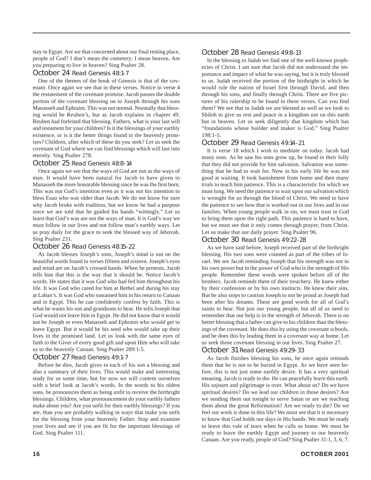stay in Egypt. Are we that concerned about our final resting place, people of God? I don't mean the cemetery; I mean heaven. Are you preparing to live in heaven? Sing Psalter 28.

#### October 24 Read Genesis 48:1-7

One of the themes of the book of Genesis is that of the covenant. Once again we see that in these verses. Notice in verse 4 the restatement of the covenant promise. Jacob passes the double portion of the covenant blessing on to Joseph through his sons Manasseh and Ephraim. This was not normal. Normally that blessing would be Reuben's, but as Jacob explains in chapter 49, Reuben had forfeited that blessing. Fathers, what is your last will and testament for your children? Is it the blessings of your earthly existence, or is it the better things found in the heavenly promises? Children, after which of these do you seek? Let us seek the covenant of God where we can find blessings which will last into eternity. Sing Psalter 278.

#### October 25 Read Genesis 48:8-14

Once again we see that the ways of God are not as the ways of man. It would have been natural for Jacob to have given to Manasseh the more honorable blessing since he was the first born. This was not God's intention even as it was not his intention to bless Esau who was older than Jacob. We do not know for sure why Jacob broke with tradition, but we know he had a purpose since we are told that he guided his hands "wittingly." Let us learn that God's was are not the ways of man. It is God's way we must follow in our lives and not follow man's earthly ways. Let us pray daily for the grace to seek the blessed way of Jehovah. Sing Psalter 231.

#### October 26 Read Genesis 48:15-22

As Jacob blesses Joseph's sons, Joseph's mind is not on the beautiful words found in verses fifteen and sixteen. Joseph's eyes and mind are on Jacob's crossed hands. When he protests, Jacob tells him that this is the way that it should be. Notice Jacob's words. He states that it was God who had fed him throughout his life. It was God who cared for him at Bethel and during his stay at Laban's. It was God who sustained him in his return to Canaan and in Egypt. This he can confidently confess by faith. This is what he wants his son and grandsons to hear. He tells Joseph that God would not leave him in Egypt. He did not know that it would not be Joseph or even Manasseh and Ephraim who would get to leave Egypt. But it would be his seed who would take up their lives in the promised land. Let us look with the same eyes of faith to the Giver of every good gift and upon Him who will take us to the heavenly Canaan. Sing Psalter 289:1-5.

#### October 27 Read Genesis 49:1-7

Before he dies, Jacob gives to each of his son a blessing and also a summary of their lives. This would make and interesting study for us some time, but for now we will content ourselves with a brief look at Jacob's words. In the words to his oldest sons, he pronounces them as being unfit to receive the birthright blessings. Children, what pronouncement do your earthly fathers make about you? Are you unfit for their earthly blessings? If you are, than you are probably walking in ways that make you unfit for the blessing from your heavenly Father. Stop and examine your lives and see if you are fit for the important blessings of God. Sing Psalter 111.

#### October 28 Read Genesis 49:8-13

In the blessing to Judah we find one of the well-known prophecies of Christ. I am sure that Jacob did not understand the importance and impact of what he was saying, but it is truly blessed to us. Judah received the portion of the birthright in which he would rule the nation of Israel first through David, and then through his sons, and finally through Christ. There are five pictures of his rulership to be found in these verses. Can you find them? We see that in Judah we are blessed as well as we look to Shiloh to give us rest and peace in a kingdom not on this earth but in heaven. Let us seek diligently that kingdom which has "foundations whose builder and maker is God." Sing Psalter  $198.1 - 5$ 

#### October 29 Read Genesis 49:14-21

It is verse 18 which I wish to meditate on today. Jacob had many sons. As he saw his sons grow up, he found in their folly that they did not provide for him salvation. Salvation was something that he had to wait for. Now in his early life he was not good at waiting. It took banishment from home and then many trials to teach him patience. This is a characteristic for which we must long. We need the patience to wait upon our salvation which is wrought for us through the blood of Christ. We need to have the patience to see how that is worked out in our lives and in our families. When young people walk in sin, we must trust in God to bring them upon the right path. This patience is hard to have, but we must see that it only comes through prayer, from Christ. Let us make that our daily prayer. Sing Psalter 96.

#### October 30 Read Genesis 49:22-28

As we have said before, Joseph received part of the birthright blessing. His two sons were counted as part of the tribes of Israel. We see Jacob reminding Joseph that his strength was not in his own power but in the power of God who is the strength of His people. Remember these words were spoken before all of the brothers. Jacob reminds them of their treachery. He knew either by their confession or by his own instincts. He knew their sins. But he also stops to caution Joseph to not be proud as Joseph had been after his dreams. These are good words for all of God's saints to hear. Not just our young people, but all of us need to remember that our help is in the strength of Jehovah. There is no better blessing that a father can give to his children than the blessings of the covenant. He does this by using the covenant schools, and he does this by leading them in a covenant way at home. Let us seek those covenant blessing in our lives. Sing Psalter 27.

#### October 31 Read Genesis 49:29-33

As Jacob finishes blessing his sons, he once again reminds them that he is not to be buried in Egypt. As we have seen before, this is not just some earthly desire. It has a very spiritual meaning. Jacob is ready to die. He can peacefully leave this earth. His sojourn and pilgrimage is over. What about us? Do we have spiritual desires? Do we lead our children in those desires? Are we sending them out tonight to serve Satan or are we teaching them about the great Reformation? Are we ready to die? Do we feel our work is done in this life? We must see that it is necessary to know that God holds our days in His hands. We must be ready to leave this vale of tears when he calls us home. We must be ready to leave the earthly Egypt and journey to our heavenly Canaan. Are you ready, people of God? Sing Psalter 31:1, 3, 6, 7.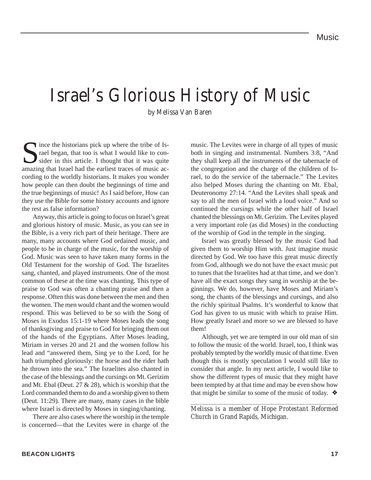## Israel's Glorious History of Music

by Melissa Van Baren

Since the historians pick up where the tribe of Is-<br>rael began, that too is what I would like to consider in this article. I thought that it was quite<br>amazing that Israel had the earliest traces of music acrael began, that too is what I would like to consider in this article. I thought that it was quite amazing that Israel had the earliest traces of music according to the worldly historians. It makes you wonder how people can then doubt the beginnings of time and the true beginnings of music! As I said before, How can they use the Bible for some history accounts and ignore the rest as false information?

Anyway, this article is going to focus on Israel's great and glorious history of music. Music, as you can see in the Bible, is a very rich part of their heritage. There are many, many accounts where God ordained music, and people to be in charge of the music, for the worship of God. Music was seen to have taken many forms in the Old Testament for the worship of God. The Israelites sang, chanted, and played instruments. One of the most common of these at the time was chanting. This type of praise to God was often a chanting praise and then a response. Often this was done between the men and then the women. The men would chant and the women would respond. This was believed to be so with the Song of Moses in Exodus 15:1-19 where Moses leads the song of thanksgiving and praise to God for bringing them out of the hands of the Egyptians. After Moses leading, Miriam in verses 20 and 21 and the women follow his lead and "answered them, Sing ye to the Lord, for he hath triumphed gloriously: the horse and the rider hath he thrown into the sea." The Israelites also chanted in the case of the blessings and the cursings on Mt. Gerizim and Mt. Ebal (Deut. 27 & 28), which is worship that the Lord commanded them to do and a worship given to them (Deut. 11:29). There are many, many cases in the bible where Israel is directed by Moses in singing/chanting.

There are also cases where the worship in the temple is concerned—that the Levites were in charge of the music. The Levites were in charge of all types of music both in singing and instrumental. Numbers 3:8, "And they shall keep all the instruments of the tabernacle of the congregation and the charge of the children of Israel, to do the service of the tabernacle." The Levites also helped Moses during the chanting on Mt. Ebal, Deuteronomy 27:14. "And the Levites shall speak and say to all the men of Israel with a loud voice." And so continued the cursings while the other half of Israel chanted the blessings on Mt. Gerizim. The Levites played a very important role (as did Moses) in the conducting of the worship of God in the temple in the singing.

Israel was greatly blessed by the music God had given them to worship Him with. Just imagine music directed by God. We too have this great music directly from God, although we do not have the exact music put to tunes that the Israelites had at that time, and we don't have all the exact songs they sang in worship at the beginnings. We do, however, have Moses and Miriam's song, the chants of the blessings and cursings, and also the richly spiritual Psalms. It's wonderful to know that God has given to us music with which to praise Him. How greatly Israel and more so we are blessed to have them!

Although, yet we are tempted in our old man of sin to follow the music of the world. Israel, too, I think was probably tempted by the worldly music of that time. Even though this is mostly speculation I would still like to consider that angle. In my next article, I would like to show the different types of music that they might have been tempted by at that time and may be even show how that might be similar to some of the music of today.  $\triangleleft$ 

*\_\_\_\_\_\_\_\_\_\_\_\_\_\_\_\_\_\_\_\_\_\_\_\_\_\_\_\_\_\_\_\_\_\_\_\_\_\_\_\_\_\_\_\_\_\_\_\_\_\_ Melissa is a member of Hope Protestant Reformed Church in Grand Rapids, Michigan.*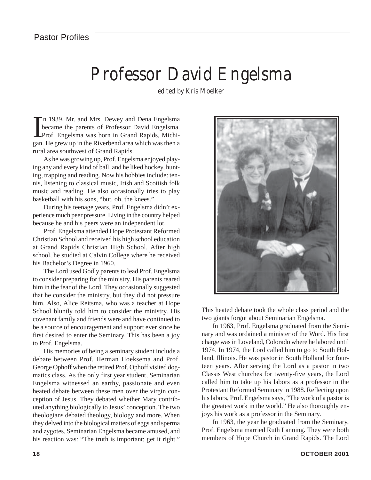## Professor David Engelsma

edited by Kris Moelker

In 1939, Mr. and Mrs. Dewey and Dena Engelsma<br>became the parents of Professor David Engelsma.<br>Prof. Engelsma was born in Grand Rapids, Michi-<br>gan. He grew up in the Riverbend area which was then a n 1939, Mr. and Mrs. Dewey and Dena Engelsma became the parents of Professor David Engelsma. Prof. Engelsma was born in Grand Rapids, Michirural area southwest of Grand Rapids.

As he was growing up, Prof. Engelsma enjoyed playing any and every kind of ball, and he liked hockey, hunting, trapping and reading. Now his hobbies include: tennis, listening to classical music, Irish and Scottish folk music and reading. He also occasionally tries to play basketball with his sons, "but, oh, the knees."

During his teenage years, Prof. Engelsma didn't experience much peer pressure. Living in the country helped because he and his peers were an independent lot.

Prof. Engelsma attended Hope Protestant Reformed Christian School and received his high school education at Grand Rapids Christian High School. After high school, he studied at Calvin College where he received his Bachelor's Degree in 1960.

The Lord used Godly parents to lead Prof. Engelsma to consider preparing for the ministry. His parents reared him in the fear of the Lord. They occasionally suggested that he consider the ministry, but they did not pressure him. Also, Alice Reitsma, who was a teacher at Hope School bluntly told him to consider the ministry. His covenant family and friends were and have continued to be a source of encouragement and support ever since he first desired to enter the Seminary. This has been a joy to Prof. Engelsma.

His memories of being a seminary student include a debate between Prof. Herman Hoeksema and Prof. George Ophoff when the retired Prof. Ophoff visited dogmatics class. As the only first year student, Seminarian Engelsma witnessed an earthy, passionate and even heated debate between these men over the virgin conception of Jesus. They debated whether Mary contributed anything biologically to Jesus' conception. The two theologians debated theology, biology and more. When they delved into the biological matters of eggs and sperma and zygotes, Seminarian Engelsma became amused, and his reaction was: "The truth is important; get it right."



This heated debate took the whole class period and the two giants forgot about Seminarian Engelsma.

In 1963, Prof. Engelsma graduated from the Seminary and was ordained a minister of the Word. His first charge was in Loveland, Colorado where he labored until 1974. In 1974, the Lord called him to go to South Holland, Illinois. He was pastor in South Holland for fourteen years. After serving the Lord as a pastor in two Classis West churches for twenty-five years, the Lord called him to take up his labors as a professor in the Protestant Reformed Seminary in 1988. Reflecting upon his labors, Prof. Engelsma says, "The work of a pastor is the greatest work in the world." He also thoroughly enjoys his work as a professor in the Seminary.

In 1963, the year he graduated from the Seminary, Prof. Engelsma married Ruth Lanning. They were both members of Hope Church in Grand Rapids. The Lord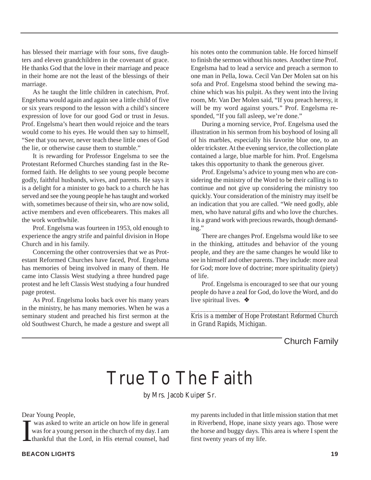has blessed their marriage with four sons, five daughters and eleven grandchildren in the covenant of grace. He thanks God that the love in their marriage and peace in their home are not the least of the blessings of their marriage.

As he taught the little children in catechism, Prof. Engelsma would again and again see a little child of five or six years respond to the lesson with a child's sincere expression of love for our good God or trust in Jesus. Prof. Engelsma's heart then would rejoice and the tears would come to his eyes. He would then say to himself, "See that you never, never teach these little ones of God the lie, or otherwise cause them to stumble."

It is rewarding for Professor Engelsma to see the Protestant Reformed Churches standing fast in the Reformed faith. He delights to see young people become godly, faithful husbands, wives, and parents. He says it is a delight for a minister to go back to a church he has served and see the young people he has taught and worked with, sometimes because of their sin, who are now solid. active members and even officebearers. This makes all the work worthwhile.

Prof. Engelsma was fourteen in 1953, old enough to experience the angry strife and painful division in Hope Church and in his family.

Concerning the other controversies that we as Protestant Reformed Churches have faced, Prof. Engelsma has memories of being involved in many of them. He came into Classis West studying a three hundred page protest and he left Classis West studying a four hundred page protest.

As Prof. Engelsma looks back over his many years in the ministry, he has many memories. When he was a seminary student and preached his first sermon at the old Southwest Church, he made a gesture and swept all

his notes onto the communion table. He forced himself to finish the sermon without his notes. Another time Prof. Engelsma had to lead a service and preach a sermon to one man in Pella, Iowa. Cecil Van Der Molen sat on his sofa and Prof. Engelsma stood behind the sewing machine which was his pulpit. As they went into the living room, Mr. Van Der Molen said, "If you preach heresy, it will be my word against yours." Prof. Engelsma responded, "If you fall asleep, we're done."

During a morning service, Prof. Engelsma used the illustration in his sermon from his boyhood of losing all of his marbles, especially his favorite blue one, to an older trickster. At the evening service, the collection plate contained a large, blue marble for him. Prof. Engelsma takes this opportunity to thank the generous giver.

Prof. Engelsma's advice to young men who are considering the ministry of the Word to be their calling is to continue and not give up considering the ministry too quickly. Your consideration of the ministry may itself be an indication that you are called. "We need godly, able men, who have natural gifts and who love the churches. It is a grand work with precious rewards, though demanding."

There are changes Prof. Engelsma would like to see in the thinking, attitudes and behavior of the young people, and they are the same changes he would like to see in himself and other parents. They include: more zeal for God; more love of doctrine; more spirituality (piety) of life.

Prof. Engelsma is encouraged to see that our young people do have a zeal for God, do love the Word, and do live spiritual lives. ❖

*\_\_\_\_\_\_\_\_\_\_\_\_\_\_\_\_\_\_\_\_\_\_\_\_\_\_\_\_\_\_\_\_\_\_\_\_\_\_\_\_\_\_\_\_\_\_\_\_ Kris is a member of Hope Protestant Reformed Church in Grand Rapids, Michigan.*

Church Family

## True To The Faith

by Mrs. Jacob Kuiper Sr.

Dear Young People,

**I**  was asked to write an article on how life in general was for a young person in the church of my day. I am thankful that the Lord, in His eternal counsel, had my parents included in that little mission station that met in Riverbend, Hope, inane sixty years ago. Those were the horse and buggy days. This area is where I spent the first twenty years of my life.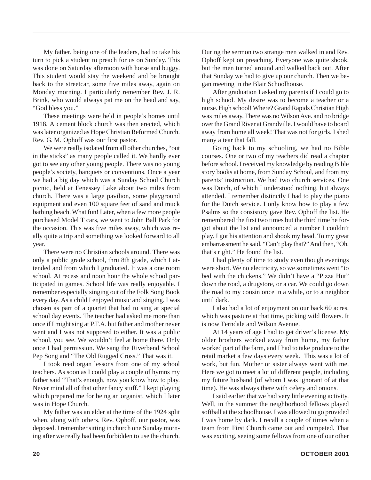My father, being one of the leaders, had to take his turn to pick a student to preach for us on Sunday. This was done on Saturday afternoon with horse and buggy. This student would stay the weekend and be brought back to the streetcar, some five miles away, again on Monday morning. I particularly remember Rev. J. R. Brink, who would always pat me on the head and say, "God bless you."

These meetings were held in people's homes until 1918. A cement block church was then erected, which was later organized as Hope Christian Reformed Church. Rev. G. M. Ophoff was our first pastor.

We were really isolated from all other churches, "out in the sticks" as many people called it. We hardly ever got to see any other young people. There was no young people's society, banquets or conventions. Once a year we had a big day which was a Sunday School Church picnic, held at Fenessey Lake about two miles from church. There was a large pavilion, some playground equipment and even 100 square feet of sand and muck bathing beach. What fun! Later, when a few more people purchased Model T cars, we went to John Ball Park for the occasion. This was five miles away, which was really quite a trip and something we looked forward to all year.

There were no Christian schools around. There was only a public grade school, thru 8th grade, which I attended and from which I graduated. It was a one room school. At recess and noon hour the whole school participated in games. School life was really enjoyable. I remember especially singing out of the Folk Song Book every day. As a child I enjoyed music and singing. I was chosen as part of a quartet that had to sing at special school day events. The teacher had asked me more than once if I might sing at P.T.A. but father and mother never went and I was not supposed to either. It was a public school, you see. We wouldn't feel at home there. Only once I had permission. We sang the Riverbend School Pep Song and "The Old Rugged Cross." That was it.

I took reed organ lessons from one of my school teachers. As soon as I could play a couple of hymns my father said "That's enough, now you know how to play. Never mind all of that other fancy stuff." I kept playing which prepared me for being an organist, which I later was in Hope Church.

My father was an elder at the time of the 1924 split when, along with others, Rev. Ophoff, our pastor, was deposed. I remember sitting in church one Sunday morning after we really had been forbidden to use the church.

During the sermon two strange men walked in and Rev. Ophoff kept on preaching. Everyone was quite shook, but the men turned around and walked back out. After that Sunday we had to give up our church. Then we began meeting in the Blair Schoolhouse.

After graduation I asked my parents if I could go to high school. My desire was to become a teacher or a nurse. High school! Where? Grand Rapids Christian High was miles away. There was no Wilson Ave. and no bridge over the Grand River at Grandville. I would have to board away from home all week! That was not for girls. I shed many a tear that fall.

Going back to my schooling, we had no Bible courses. One or two of my teachers did read a chapter before school. I received my knowledge by reading Bible story books at home, from Sunday School, and from my parents' instruction. We had two church services. One was Dutch, of which I understood nothing, but always attended. I remember distinctly I had to play the piano for the Dutch service. I only know how to play a few Psalms so the consistory gave Rev. Ophoff the list. He remembered the first two times but the third time he forgot about the list and announced a number I couldn't play. I got his attention and shook my head. To my great embarrassment he said, "Can't play that?" And then, "Oh, that's right." He found the list.

I had plenty of time to study even though evenings were short. We no electricity, so we sometimes went "to bed with the chickens." We didn't have a "Pizza Hut" down the road, a drugstore, or a car. We could go down the road to my cousin once in a while, or to a neighbor until dark.

I also had a lot of enjoyment on our back 60 acres, which was pasture at that time, picking wild flowers. It is now Ferndale and Wilson Avenue.

At 14 years of age I had to get driver's license. My older brothers worked away from home, my father worked part of the farm, and I had to take produce to the retail market a few days every week. This was a lot of work, but fun. Mother or sister always went with me. Here we got to meet a lot of different people, including my future husband (of whom I was ignorant of at that time). He was always there with celery and onions.

I said earlier that we had very little evening activity. Well, in the summer the neighborhood fellows played softball at the schoolhouse. I was allowed to go provided I was home by dark. I recall a couple of times when a team from First Church came out and competed. That was exciting, seeing some fellows from one of our other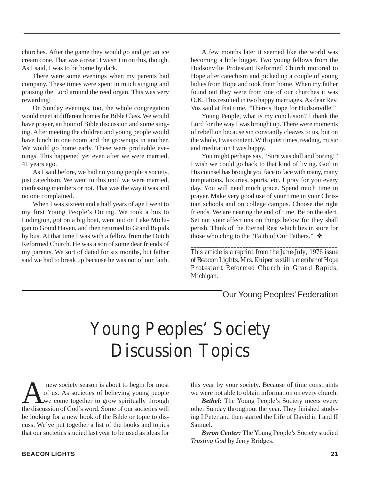churches. After the game they would go and get an ice cream cone. That was a treat! I wasn't in on this, though. As I said, I was to be home by dark.

There were some evenings when my parents had company. These times were spent in much singing and praising the Lord around the reed organ. This was very rewarding!

On Sunday evenings, too, the whole congregation would meet at different homes for Bible Class. We would have prayer, an hour of Bible discussion and some singing. After meeting the children and young people would have lunch in one room and the grownups in another. We would go home early. These were profitable evenings. This happened yet even after we were married, 41 years ago.

As I said before, we had no young people's society, just catechism. We went to this until we were married, confessing members or not. That was the way it was and no one complained.

When I was sixteen and a half years of age I went to my first Young People's Outing. We took a bus to Ludington, got on a big boat, went out on Lake Michigan to Grand Haven, and then returned to Grand Rapids by bus. At that time I was with a fellow from the Dutch Reformed Church. He was a son of some dear friends of my parents. We sort of dated for six months, but father said we had to break up because he was not of our faith.

A few months later it seemed like the world was becoming a little bigger. Two young fellows from the Hudsonvilie Protestant Reformed Church motored to Hope after catechism and picked up a couple of young ladies from Hope and took them home. When my father found out they were from one of our churches it was O.K. This resulted in two happy marriages. As dear Rev. Vos said at that time, "There's Hope for Hudsonville."

Young People, what is my conclusion? I thank the Lord for the way I was brought up. There were moments of rebellion because sin constantly cleaves to us, but on the whole, I was content. With quiet times, reading, music and meditation I was happy.

You might perhaps say, "Sure was dull and boring!" I wish we could go back to that kind of living. God in His counsel has brought you face to face with many, many temptations, luxuries, sports, etc. I pray for you every day. You will need much grace. Spend much time in prayer. Make very good use of your time in your Christian schools and on college campus. Choose the right friends. We are nearing the end of time. Be on the alert. Set not your affections on things below for they shall perish. Think of the Eternal Rest which lies in store for those who cling to the "Faith of Our Fathers." ❖

*This article is a reprint from the June-July, 1976 issue of* Beacon Lights. *Mrs. Kuiper is still a member of Hope Protestant Reformed Church in Grand Rapids, Michigan.*

*\_\_\_\_\_\_\_\_\_\_\_\_\_\_\_\_\_\_\_\_\_\_\_\_\_\_\_\_\_\_\_\_\_\_\_\_\_\_\_\_\_\_\_\_\_\_\_\_*

### Our Young Peoples' Federation

## Young Peoples' Society Discussion Topics

new society season is about to begin for most<br>of us. As societies of believing young people<br>we come together to grow spiritually through<br>the discussion of God's word. Some of our societies will of us. As societies of believing young people we come together to grow spiritually through the discussion of God's word. Some of our societies will be looking for a new book of the Bible or topic to discuss. We've put together a list of the books and topics that our societies studied last year to be used as ideas for

this year by your society. Because of time constraints we were not able to obtain information on every church.

*Bethel:* The Young People's Society meets every other Sunday throughout the year. They finished studying I Peter and then started the Life of David in I and II Samuel.

*Byron Center:* The Young People's Society studied *Trusting God* by Jerry Bridges.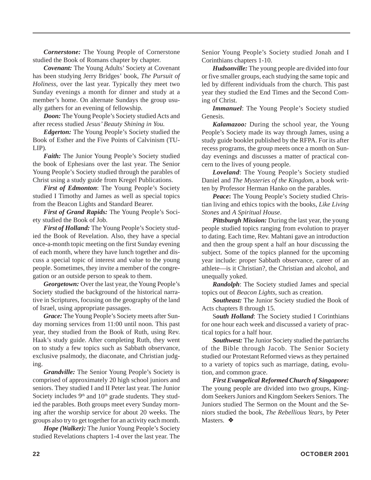*Cornerstone:* The Young People of Cornerstone studied the Book of Romans chapter by chapter.

*Covenant:* The Young Adults' Society at Covenant has been studying Jerry Bridges' book, *The Pursuit of Holiness,* over the last year. Typically they meet two Sunday evenings a month for dinner and study at a member's home. On alternate Sundays the group usually gathers for an evening of fellowship.

*Doon:* The Young People's Society studied Acts and after recess studied *Jesus' Beauty Shining in You.*

*Edgerton:* The Young People's Society studied the Book of Esther and the Five Points of Calvinism (TU-LIP)*.*

*Faith:* The Junior Young People's Society studied the book of Ephesians over the last year. The Senior Young People's Society studied through the parables of Christ using a study guide from Kregel Publications.

*First of Edmonton*: The Young People's Society studied I Timothy and James as well as special topics from the Beacon Lights and Standard Bearer.

*First of Grand Rapids:* The Young People's Society studied the Book of Job.

*First of Holland:* The Young People's Society studied the Book of Revelation. Also, they have a special once-a-month topic meeting on the first Sunday evening of each month, where they have lunch together and discuss a special topic of interest and value to the young people. Sometimes, they invite a member of the congregation or an outside person to speak to them.

*Georgetown:* Over the last year, the Young People's Society studied the background of the historical narrative in Scriptures, focusing on the geography of the land of Israel, using appropriate passages.

*Grace:* The Young People's Society meets after Sunday morning services from 11:00 until noon. This past year, they studied from the Book of Ruth, using Rev. Haak's study guide. After completing Ruth, they went on to study a few topics such as Sabbath observance, exclusive psalmody, the diaconate, and Christian judging.

*Grandville:* The Senior Young People's Society is comprised of approximately 20 high school juniors and seniors. They studied I and II Peter last year. The Junior Society includes  $9<sup>th</sup>$  and  $10<sup>th</sup>$  grade students. They studied the parables. Both groups meet every Sunday morning after the worship service for about 20 weeks. The groups also try to get together for an activity each month.

*Hope (Walker):* The Junior Young People's Society studied Revelations chapters 1-4 over the last year. The Senior Young People's Society studied Jonah and I Corinthians chapters 1-10.

*Hudsonville:* The young people are divided into four or five smaller groups, each studying the same topic and led by different individuals from the church. This past year they studied the End Times and the Second Coming of Christ.

*Immanuel*: The Young People's Society studied Genesis.

*Kalamazoo:* During the school year, the Young People's Society made its way through James, using a study guide booklet published by the RFPA. For its after recess programs, the group meets once a month on Sunday evenings and discusses a matter of practical concern to the lives of young people.

*Loveland*: The Young People's Society studied Daniel and *The Mysteries of the Kingdom*, a book written by Professor Herman Hanko on the parables.

*Peace***:** The Young People's Society studied Christian living and ethics topics with the books, *Like Living Stones* and *A Spiritual House*.

*Pittsburgh Mission:* During the last year, the young people studied topics ranging from evolution to prayer to dating. Each time, Rev. Mahtani gave an introduction and then the group spent a half an hour discussing the subject. Some of the topics planned for the upcoming year include: proper Sabbath observance, career of an athlete—is it Christian?, the Christian and alcohol, and unequally yoked.

*Randolph*: The Society studied James and special topics out of *Beacon Lights,* such as creation.

*Southeast:* The Junior Society studied the Book of Acts chapters 8 through 15.

S*outh Holland*: The Society studied I Corinthians for one hour each week and discussed a variety of practical topics for a half hour.

*Southwest:* The Junior Society studied the patriarchs of the Bible through Jacob. The Senior Society studied our Protestant Reformed views as they pertained to a variety of topics such as marriage, dating, evolution, and common grace.

*First Evangelical Reformed Church of Singapore:* The young people are divided into two groups, Kingdom Seekers Juniors and Kingdom Seekers Seniors. The Juniors studied The Sermon on the Mount and the Seniors studied the book, *The Rebellious Years,* by Peter Masters*.* ❖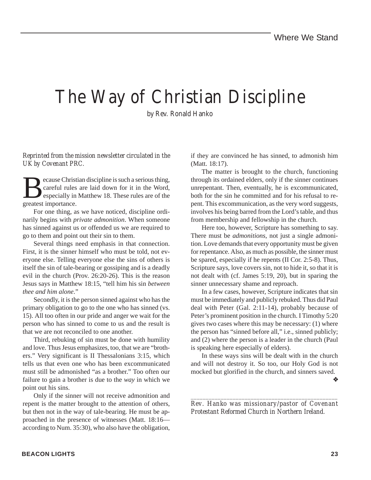## The Way of Christian Discipline

by Rev. Ronald Hanko

*Reprinted from the mission newsletter circulated in the UK by Covenant PRC.*

Because Christian discipline is such a serious thing,<br>careful rules are laid down for it in the Word,<br>especially in Matthew 18. These rules are of the<br>greatest importance careful rules are laid down for it in the Word, especially in Matthew 18. These rules are of the greatest importance.

For one thing, as we have noticed, discipline ordinarily begins with *private admonition*. When someone has sinned against us or offended us we are required to go to them and point out their sin to them.

Several things need emphasis in that connection. First, it is the sinner himself who must be told, not everyone else. Telling everyone else the sins of others is itself the sin of tale-bearing or gossiping and is a deadly evil in the church (Prov. 26:20-26). This is the reason Jesus says in Matthew 18:15, "tell him his sin *between thee and him alone*."

Secondly, it is the person sinned against who has the primary obligation to go to the one who has sinned (vs. 15). All too often in our pride and anger we wait for the person who has sinned to come to us and the result is that we are not reconciled to one another.

Third, rebuking of sin must be done with humility and love. Thus Jesus emphasizes, too, that we are "brothers." Very significant is II Thessalonians 3:15, which tells us that even one who has been excommunicated must still be admonished "as a brother." Too often our failure to gain a brother is due to the *way* in which we point out his sins.

Only if the sinner will not receive admonition and repent is the matter brought to the attention of others, but then not in the way of tale-bearing. He must be approached in the presence of witnesses (Matt. 18:16 according to Num. 35:30), who also have the obligation, if they are convinced he has sinned, to admonish him (Matt. 18:17).

The matter is brought to the church, functioning through its ordained elders, only if the sinner continues unrepentant. Then, eventually, he is excommunicated, both for the sin he committed and for his refusal to repent. This excommunication, as the very word suggests, involves his being barred from the Lord's table, and thus from membership and fellowship in the church.

Here too, however, Scripture has something to say. There must be *admonitions*, not just a single admonition. Love demands that every opportunity must be given for repentance. Also, as much as possible, the sinner must be spared, especially if he repents (II Cor. 2:5-8). Thus, Scripture says, love covers sin, not to hide it, so that it is not dealt with (cf. James 5:19, 20), but in sparing the sinner unnecessary shame and reproach.

In a few cases, however, Scripture indicates that sin must be immediately and publicly rebuked. Thus did Paul deal with Peter (Gal. 2:11-14), probably because of Peter's prominent position in the church. I Timothy 5:20 gives two cases where this may be necessary: (1) where the person has "sinned before all," i.e., sinned publicly; and (2) where the person is a leader in the church (Paul is speaking here especially of elders).

In these ways sins will be dealt with in the church and will not destroy it. So too, our Holy God is not mocked but glorified in the church, and sinners saved.

❖

*\_\_\_\_\_\_\_\_\_\_\_\_\_\_\_\_\_\_\_\_\_\_\_\_\_\_\_\_\_\_\_\_\_\_\_\_\_\_\_\_\_\_\_\_\_\_\_\_\_ Rev. Hanko was missionary/pastor of Covenant Protestant Reformed Church in Northern Ireland.*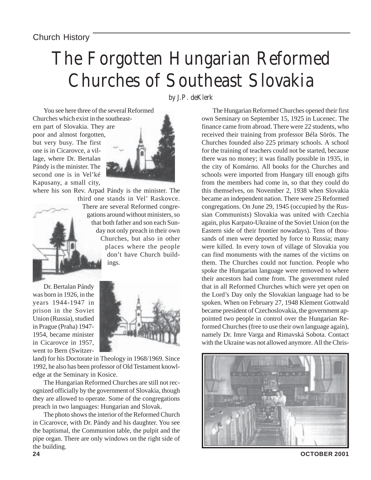## The Forgotten Hungarian Reformed Churches of Southeast Slovakia

by J.P. deKlerk

You see here three of the several Reformed Churches which exist in the southeastern part of Slovakia. They are poor and almost forgotten, but very busy. The first one is in Cicarovce, a village, where Dr. Bertalan Pándy is the minister. The second one is in Vel'ké Kapusany, a small city,

where his son Rev. Arpad Pándy is the minister. The



third one stands in Vel' Raskovce. There are several Reformed congregations around without ministers, so that both father and son each Sunday not only preach in their own Churches, but also in other places where the people don't have Church buildings.

Dr. Bertalan Pándy was born in 1926, in the years 1944-1947 in prison in the Soviet Union (Russia), studied in Prague (Praha) 1947- 1954, became minister in Cicarovce in 1957, went to Bern (Switzer-



land) for his Doctorate in Theology in 1968/1969. Since 1992, he also has been professor of Old Testament knowledge at the Seminary in Kosice.

The Hungarian Reformed Churches are still not recognized officially by the government of Slovakia, though they are allowed to operate. Some of the congregations preach in two languages: Hungarian and Slovak.

The photo shows the interior of the Reformed Church in Cicarovce, with Dr. Pándy and his daughter. You see the baptismal, the Communion table, the pulpit and the pipe organ. There are only windows on the right side of the building.

The Hungarian Reformed Churches opened their first own Seminary on September 15, 1925 in Lucenec. The finance came from abroad. There were 22 students, who received their training from professor Béla Sörös. The Churches founded also 225 primary schools. A school for the training of teachers could not be started, because there was no money; it was finally possible in 1935, in the city of Komárno. All books for the Churches and schools were imported from Hungary till enough gifts from the members had come in, so that they could do this themselves, on November 2, 1938 when Slovakia became an independent nation. There were 25 Reformed congregations. On June 29, 1945 (occupied by the Russian Communists) Slovakia was united with Czechia again, plus Karpato-Ukraine of the Soviet Union (on the Eastern side of their frontier nowadays). Tens of thousands of men were deported by force to Russia; many were killed. In every town of village of Slovakia you can find monuments with the names of the victims on them. The Churches could not function. People who spoke the Hungarian language were removed to where their ancestors had come from. The government ruled that in all Reformed Churches which were yet open on the Lord's Day only the Slovakian language had to be spoken. When on February 27, 1948 Klement Gottwald became president of Czechoslovakia, the government appointed two people in control over the Hungarian Reformed Churches (free to use their own language again), namely Dr. Imre Varga and Rimavská Sobota. Contact with the Ukraine was not allowed anymore. All the Chris-

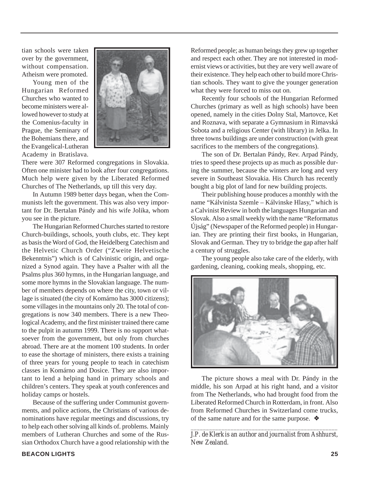tian schools were taken over by the government, without compensation. Atheism were promoted.

Young men of the Hungarian Reformed Churches who wanted to become ministers were allowed however to study at the Comenius-faculty in Prague, the Seminary of the Bohemians there, and the Evangelical-Lutheran Academy in Bratislava.



There were 307 Reformed congregations in Slovakia. Often one minister had to look after four congregations. Much help were given by the Liberated Reformed Churches of The Netherlands, up till this very day.

In Autumn 1989 better days began, when the Communists left the government. This was also very important for Dr. Bertalan Pándy and his wife Jolika, whom you see in the picture.

The Hungarian Reformed Churches started to restore Church-buildings, schools, youth clubs, etc. They kept as basis the Word of God, the Heidelberg Catechism and the Helvetic Church Order ("Zweite Helvetische Bekenntnis") which is of Calvinistic origin, and organized a Synod again. They have a Psalter with all the Psalms plus 360 hymns, in the Hungarian language, and some more hymns in the Slovakian language. The number of members depends on where the city, town or village is situated (the city of Komárno has 3000 citizens); some villages in the mountains only 20. The total of congregations is now 340 members. There is a new Theological Academy, and the first minister trained there came to the pulpit in autumn 1999. There is no support whatsoever from the government, but only from churches abroad. There are at the moment 100 students. In order to ease the shortage of ministers, there exists a training of three years for young people to teach in catechism classes in Komárno and Dosice. They are also important to lend a helping hand in primary schools and children's centers. They speak at youth conferences and holiday camps or hostels.

Because of the suffering under Communist governments, and police actions, the Christians of various denominations have regular meetings and discussions, try to help each other solving all kinds of. problems. Mainly members of Lutheran Churches and some of the Russian Orthodox Church have a good relationship with the Reformed people; as human beings they grew up together and respect each other. They are not interested in modernist views or activities, but they are very well aware of their existence. They help each other to build more Christian schools. They want to give the younger generation what they were forced to miss out on.

Recently four schools of the Hungarian Reformed Churches (primary as well as high schools) have been opened, namely in the cities Dolny Stal, Martovce, Ket and Roznava, with separate a Gymnasium in Rimavská Sobota and a religious Center (with library) in Jelka. In three towns buildings are under construction (with great sacrifices to the members of the congregations).

The son of Dr. Bertalan Pándy, Rev. Arpad Pándy, tries to speed these projects up as much as possible during the summer, because the winters are long and very severe in Southeast Slovakia. His Church has recently bought a big plot of land for new building projects.

Their publishing house produces a monthly with the name "Kálvinista Szemle – Kálvinske Hlasy," which is a Calvinist Review in both the languages Hungarian and Slovak. Also a small weekly with the name "Reformatus Újság" (Newspaper of the Reformed people) in Hungarian. They are printing their first books, in Hungarian, Slovak and German. They try to bridge the gap after half a century of struggles.

The young people also take care of the elderly, with gardening, cleaning, cooking meals, shopping, etc.



The picture shows a meal with Dr. Pándy in the middle, his son Arpad at his right hand, and a visitor from The Netherlands, who had brought food from the Liberated Reformed Church in Rotterdam, in front. Also from Reformed Churches in Switzerland come trucks, of the same nature and for the same purpose. ❖

*\_\_\_\_\_\_\_\_\_\_\_\_\_\_\_\_\_\_\_\_\_\_\_\_\_\_\_\_\_\_\_\_\_\_\_\_\_\_\_\_\_\_\_\_\_\_\_\_ J.P. de Klerk is an author and journalist from Ashhurst, New Zealand.*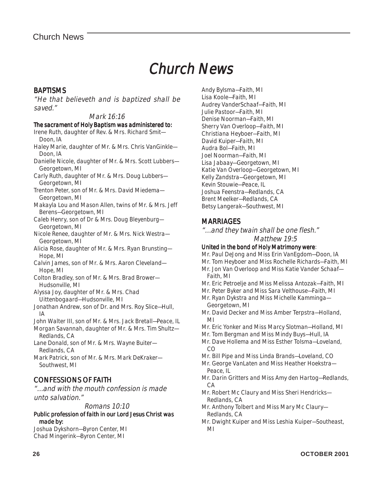### Chur Church News

### **BAPTISMS**

"He that believeth and is baptized shall be saved."

### Mark 16:16

#### The sacrament of Holy Baptism was administered to:

- Irene Ruth, daughter of Rev. & Mrs. Richard Smit— Doon, IA
- Haley Marie, daughter of Mr. & Mrs. Chris VanGinkle— Doon, IA
- Danielle Nicole, daughter of Mr. & Mrs. Scott Lubbers— Georgetown, MI
- Carly Ruth, daughter of Mr. & Mrs. Doug Lubbers— Georgetown, MI
- Trenton Peter, son of Mr. & Mrs. David Miedema— Georgetown, MI
- Makayla Lou and Mason Allen, twins of Mr. & Mrs. Jeff Berens—Georgetown, MI
- Caleb Henry, son of Dr & Mrs. Doug Bleyenburg— Georgetown, MI
- Nicole Renee, daughter of Mr. & Mrs. Nick Westra— Georgetown, MI
- Alicia Rose, daughter of Mr. & Mrs. Ryan Brunsting— Hope, MI
- Calvin James, son of Mr. & Mrs. Aaron Cleveland— Hope, MI
- Colton Bradley, son of Mr. & Mrs. Brad Brower— Hudsonville, MI
- Alyssa Joy, daughter of Mr. & Mrs. Chad Uittenbogaard—Hudsonville, MI
- Jonathan Andrew, son of Dr. and Mrs. Roy Slice—Hull, IA
- John Walter III, son of Mr. & Mrs. Jack Bretall—Peace, IL
- Morgan Savannah, daughter of Mr. & Mrs. Tim Shultz— Redlands, CA
- Lane Donald, son of Mr. & Mrs. Wayne Buiter— Redlands, CA
- Mark Patrick, son of Mr. & Mrs. Mark DeKraker— Southwest, MI

### CONFESSIONS OF FAITH

"…and with the mouth confession is made unto salvation."

#### Romans 10:10

Public profession of faith in our Lord Jesus Christ was made by:

Joshua Dykshorn—Byron Center, MI Chad Mingerink—Byron Center, MI

Andy Bylsma—Faith, MI Lisa Koole—Faith, MI Audrey VanderSchaaf—Faith, MI Julie Pastoor—Faith, MI Denise Noorman—Faith, MI Sherry Van Overloop—Faith, MI Christiana Heyboer—Faith, MI David Kuiper—Faith, MI Audra Bol—Faith, MI Joel Noorman—Faith, MI Lisa Jabaay—Georgetown, MI Katie Van Overloop—Georgetown, MI Kelly Zandstra—Georgetown, MI Kevin Stouwie—Peace, IL Joshua Feenstra—Redlands, CA Brent Meelker—Redlands, CA Betsy Langerak—Southwest, MI

### **MARRIAGES**

"…and they twain shall be one flesh." Matthew 19:5

#### United in the bond of Holy Matrimony were:

Mr. Paul DeJong and Miss Erin VanEgdom—Doon, IA

- Mr. Tom Heyboer and Miss Rochelle Richards—Faith, MI
- Mr. Jon Van Overloop and Miss Katie Vander Schaaf— Faith, MI
- Mr. Eric Petroelje and Miss Melissa Antozak—Faith, MI
- Mr. Peter Byker and Miss Sara Velthouse—Faith, MI
- Mr. Ryan Dykstra and Miss Michelle Kamminga— Georgetown, MI
- Mr. David Decker and Miss Amber Terpstra—Holland, MI
- Mr. Eric Yonker and Miss Marcy Slotman—Holland, MI
- Mr. Tom Bergman and Miss Mindy Buys—Hull, IA
- Mr. Dave Hollema and Miss Esther Tolsma-Loveland  $C<sub>O</sub>$
- Mr. Bill Pipe and Miss Linda Brands—Loveland, CO
- Mr. George VanLaten and Miss Heather Hoekstra— Peace, IL
- Mr. Darin Gritters and Miss Amy den Hartog—Redlands, CA
- Mr. Robert Mc Claury and Miss Sheri Hendricks— Redlands, CA
- Mr. Anthony Tolbert and Miss Mary Mc Claury— Redlands, CA
- Mr. Dwight Kuiper and Miss Leshia Kuiper—Southeast, MI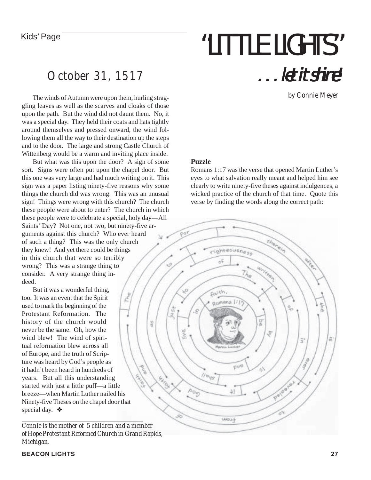# Kids' Page **The Contract Contract of the ULITTLE LIGHTS"** . . . let it shine!

by Connie Meyer

### October 31, 1517

The winds of Autumn were upon them, hurling straggling leaves as well as the scarves and cloaks of those upon the path. But the wind did not daunt them. No, it was a special day. They held their coats and hats tightly around themselves and pressed onward, the wind following them all the way to their destination up the steps and to the door. The large and strong Castle Church of Wittenberg would be a warm and inviting place inside.

But what was this upon the door? A sign of some sort. Signs were often put upon the chapel door. But this one was very large and had much writing on it. This sign was a paper listing ninety-five reasons why some things the church did was wrong. This was an unusual sign! Things were wrong with this church? The church these people were about to enter? The church in which these people were to celebrate a special, holy day—All Saints' Day? Not one, not two, but ninety-five arguments against this church? Who ever heard of such a thing? This was the only church they knew! And yet there could be things in this church that were so terribly wrong? This was a strange thing to consider. A very strange thing indeed.

But it was a wonderful thing, too. It was an event that the Spirit used to mark the beginning of the Protestant Reformation. The history of the church would never be the same. Oh, how the wind blew! The wind of spiritual reformation blew across all of Europe, and the truth of Scripture was heard by God's people as it hadn't been heard in hundreds of years. But all this understanding started with just a little puff—a little breeze—when Martin Luther nailed his Ninety-five Theses on the chapel door that special day. ❖

*Connie is the mother of 5 children and a member of Hope Protestant Reformed Church in Grand Rapids, Michigan.*

### **Puzzle**

Romans 1:17 was the verse that opened Martin Luther's eyes to what salvation really meant and helped him see clearly to write ninety-five theses against indulgences, a wicked practice of the church of that time. Quote this verse by finding the words along the correct path: